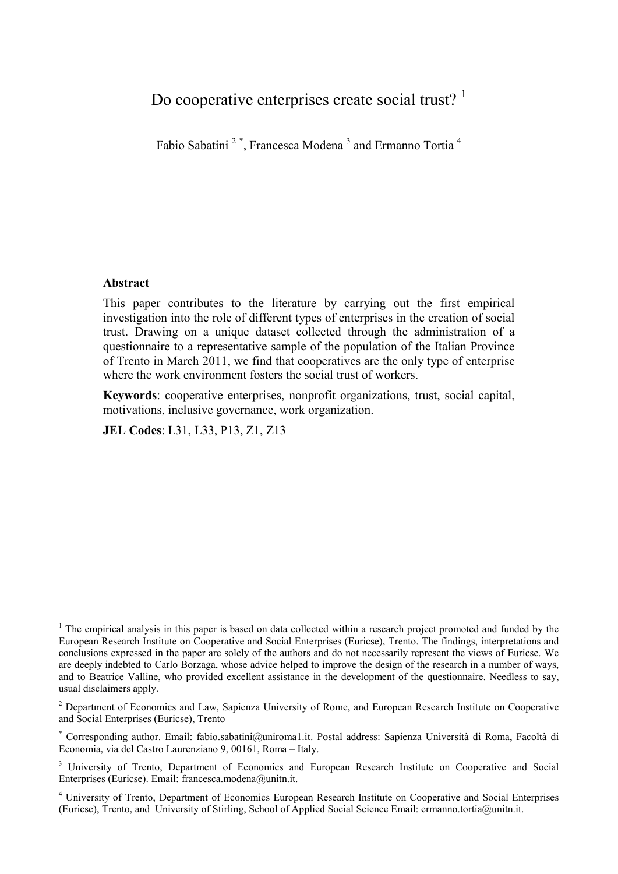# Do cooperative enterprises create social trust?  $1$

Fabio Sabatini<sup>2</sup><sup>\*</sup>, Francesca Modena<sup>3</sup> and Ermanno Tortia<sup>4</sup>

### **Abstract**

-

This paper contributes to the literature by carrying out the first empirical investigation into the role of different types of enterprises in the creation of social trust. Drawing on a unique dataset collected through the administration of a questionnaire to a representative sample of the population of the Italian Province of Trento in March 2011, we find that cooperatives are the only type of enterprise where the work environment fosters the social trust of workers.

**Keywords**: cooperative enterprises, nonprofit organizations, trust, social capital, motivations, inclusive governance, work organization.

**JEL Codes**: L31, L33, P13, Z1, Z13

<sup>&</sup>lt;sup>1</sup> The empirical analysis in this paper is based on data collected within a research project promoted and funded by the European Research Institute on Cooperative and Social Enterprises (Euricse), Trento. The findings, interpretations and conclusions expressed in the paper are solely of the authors and do not necessarily represent the views of Euricse. We are deeply indebted to Carlo Borzaga, whose advice helped to improve the design of the research in a number of ways, and to Beatrice Valline, who provided excellent assistance in the development of the questionnaire. Needless to say, usual disclaimers apply.

<sup>&</sup>lt;sup>2</sup> Department of Economics and Law, Sapienza University of Rome, and European Research Institute on Cooperative and Social Enterprises (Euricse), Trento

<sup>\*</sup> Corresponding author. Email: fabio.sabatini@uniroma1.it. Postal address: Sapienza Università di Roma, Facoltà di Economia, via del Castro Laurenziano 9, 00161, Roma – Italy.

<sup>&</sup>lt;sup>3</sup> University of Trento, Department of Economics and European Research Institute on Cooperative and Social Enterprises (Euricse). Email: francesca.modena@unitn.it.

<sup>&</sup>lt;sup>4</sup> University of Trento, Department of Economics European Research Institute on Cooperative and Social Enterprises (Euricse), Trento, and University of Stirling, School of Applied Social Science Email: ermanno.tortia@unitn.it.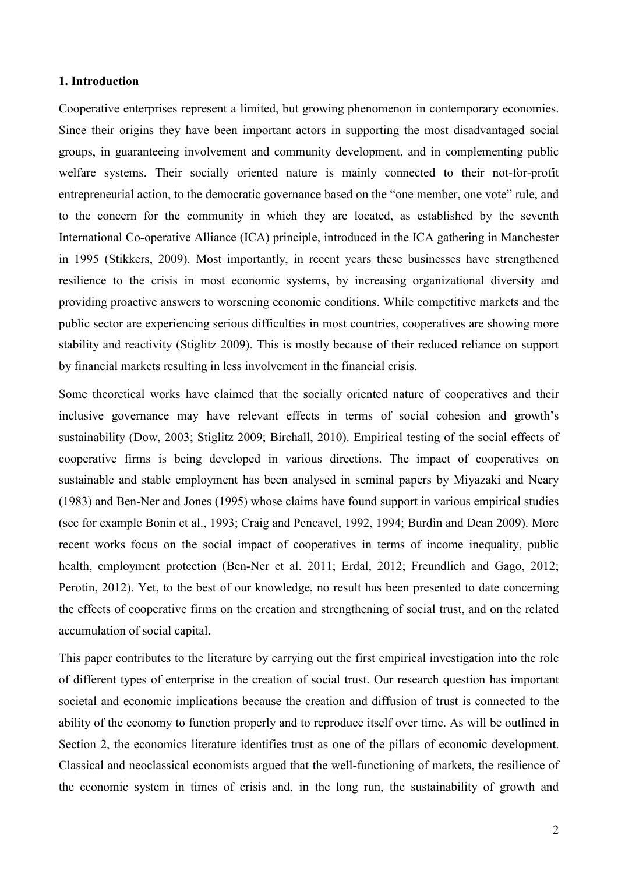### **1. Introduction**

Cooperative enterprises represent a limited, but growing phenomenon in contemporary economies. Since their origins they have been important actors in supporting the most disadvantaged social groups, in guaranteeing involvement and community development, and in complementing public welfare systems. Their socially oriented nature is mainly connected to their not-for-profit entrepreneurial action, to the democratic governance based on the "one member, one vote" rule, and to the concern for the community in which they are located, as established by the seventh International Co-operative Alliance (ICA) principle, introduced in the ICA gathering in Manchester in 1995 (Stikkers, 2009). Most importantly, in recent years these businesses have strengthened resilience to the crisis in most economic systems, by increasing organizational diversity and providing proactive answers to worsening economic conditions. While competitive markets and the public sector are experiencing serious difficulties in most countries, cooperatives are showing more stability and reactivity (Stiglitz 2009). This is mostly because of their reduced reliance on support by financial markets resulting in less involvement in the financial crisis.

Some theoretical works have claimed that the socially oriented nature of cooperatives and their inclusive governance may have relevant effects in terms of social cohesion and growth's sustainability (Dow, 2003; Stiglitz 2009; Birchall, 2010). Empirical testing of the social effects of cooperative firms is being developed in various directions. The impact of cooperatives on sustainable and stable employment has been analysed in seminal papers by Miyazaki and Neary (1983) and Ben-Ner and Jones (1995) whose claims have found support in various empirical studies (see for example Bonin et al., 1993; Craig and Pencavel, 1992, 1994; Burdìn and Dean 2009). More recent works focus on the social impact of cooperatives in terms of income inequality, public health, employment protection (Ben-Ner et al. 2011; Erdal, 2012; Freundlich and Gago, 2012; Perotin, 2012). Yet, to the best of our knowledge, no result has been presented to date concerning the effects of cooperative firms on the creation and strengthening of social trust, and on the related accumulation of social capital.

This paper contributes to the literature by carrying out the first empirical investigation into the role of different types of enterprise in the creation of social trust. Our research question has important societal and economic implications because the creation and diffusion of trust is connected to the ability of the economy to function properly and to reproduce itself over time. As will be outlined in Section 2, the economics literature identifies trust as one of the pillars of economic development. Classical and neoclassical economists argued that the well-functioning of markets, the resilience of the economic system in times of crisis and, in the long run, the sustainability of growth and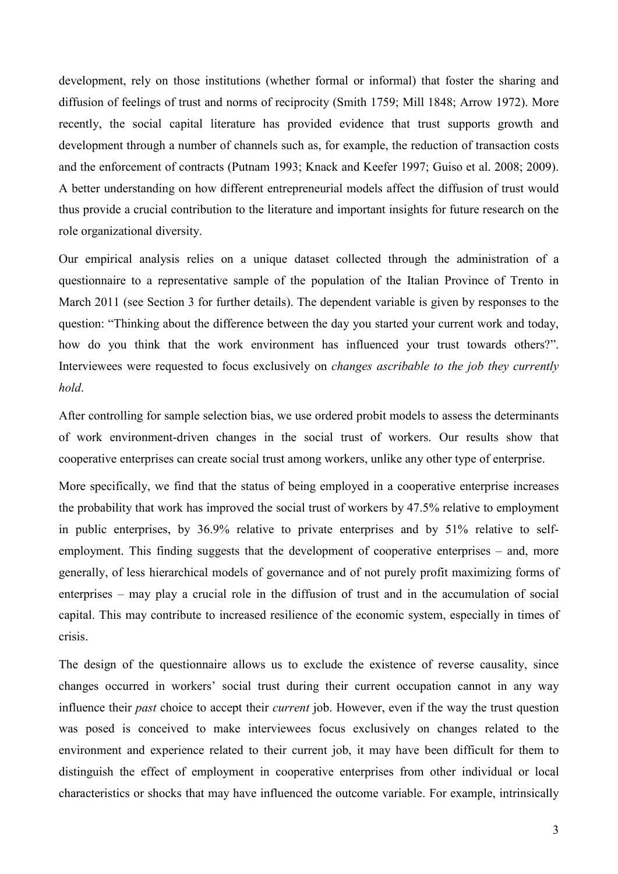development, rely on those institutions (whether formal or informal) that foster the sharing and diffusion of feelings of trust and norms of reciprocity (Smith 1759; Mill 1848; Arrow 1972). More recently, the social capital literature has provided evidence that trust supports growth and development through a number of channels such as, for example, the reduction of transaction costs and the enforcement of contracts (Putnam 1993; Knack and Keefer 1997; Guiso et al. 2008; 2009). A better understanding on how different entrepreneurial models affect the diffusion of trust would thus provide a crucial contribution to the literature and important insights for future research on the role organizational diversity.

Our empirical analysis relies on a unique dataset collected through the administration of a questionnaire to a representative sample of the population of the Italian Province of Trento in March 2011 (see Section 3 for further details). The dependent variable is given by responses to the question: "Thinking about the difference between the day you started your current work and today, how do you think that the work environment has influenced your trust towards others?". Interviewees were requested to focus exclusively on *changes ascribable to the job they currently hold*.

After controlling for sample selection bias, we use ordered probit models to assess the determinants of work environment-driven changes in the social trust of workers. Our results show that cooperative enterprises can create social trust among workers, unlike any other type of enterprise.

More specifically, we find that the status of being employed in a cooperative enterprise increases the probability that work has improved the social trust of workers by 47.5% relative to employment in public enterprises, by 36.9% relative to private enterprises and by 51% relative to selfemployment. This finding suggests that the development of cooperative enterprises – and, more generally, of less hierarchical models of governance and of not purely profit maximizing forms of enterprises – may play a crucial role in the diffusion of trust and in the accumulation of social capital. This may contribute to increased resilience of the economic system, especially in times of crisis.

The design of the questionnaire allows us to exclude the existence of reverse causality, since changes occurred in workers' social trust during their current occupation cannot in any way influence their *past* choice to accept their *current* job. However, even if the way the trust question was posed is conceived to make interviewees focus exclusively on changes related to the environment and experience related to their current job, it may have been difficult for them to distinguish the effect of employment in cooperative enterprises from other individual or local characteristics or shocks that may have influenced the outcome variable. For example, intrinsically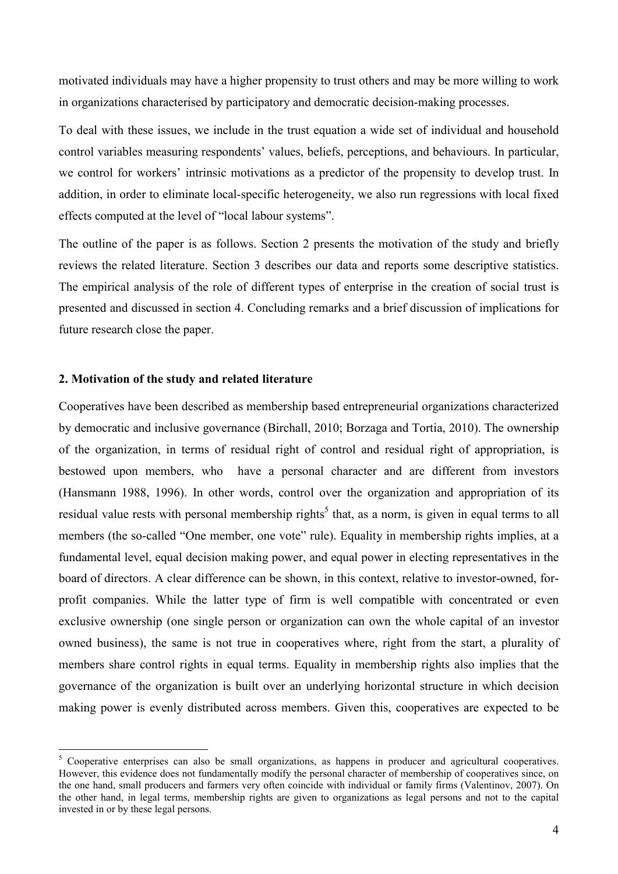motivated individuals may have a higher propensity to trust others and may be more willing to work in organizations characterised by participatory and democratic decision-making processes.

To deal with these issues, we include in the trust equation a wide set of individual and household control variables measuring respondents' values, beliefs, perceptions, and behaviours. In particular, we control for workers' intrinsic motivations as a predictor of the propensity to develop trust. In addition, in order to eliminate local-specific heterogeneity, we also run regressions with local fixed effects computed at the level of "local labour systems".

The outline of the paper is as follows. Section 2 presents the motivation of the study and briefly reviews the related literature. Section 3 describes our data and reports some descriptive statistics. The empirical analysis of the role of different types of enterprise in the creation of social trust is presented and discussed in section 4. Concluding remarks and a brief discussion of implications for future research close the paper.

#### **2. Motivation of the study and related literature**

-

Cooperatives have been described as membership based entrepreneurial organizations characterized by democratic and inclusive governance (Birchall, 2010; Borzaga and Tortia, 2010). The ownership of the organization, in terms of residual right of control and residual right of appropriation, is bestowed upon members, who have a personal character and are different from investors (Hansmann 1988, 1996). In other words, control over the organization and appropriation of its residual value rests with personal membership rights<sup>5</sup> that, as a norm, is given in equal terms to all members (the so-called "One member, one vote" rule). Equality in membership rights implies, at a fundamental level, equal decision making power, and equal power in electing representatives in the board of directors. A clear difference can be shown, in this context, relative to investor-owned, forprofit companies. While the latter type of firm is well compatible with concentrated or even exclusive ownership (one single person or organization can own the whole capital of an investor owned business), the same is not true in cooperatives where, right from the start, a plurality of members share control rights in equal terms. Equality in membership rights also implies that the governance of the organization is built over an underlying horizontal structure in which decision making power is evenly distributed across members. Given this, cooperatives are expected to be

<sup>&</sup>lt;sup>5</sup> Cooperative enterprises can also be small organizations, as happens in producer and agricultural cooperatives. However, this evidence does not fundamentally modify the personal character of membership of cooperatives since, on the one hand, small producers and farmers very often coincide with individual or family firms (Valentinov, 2007). On the other hand, in legal terms, membership rights are given to organizations as legal persons and not to the capital invested in or by these legal persons.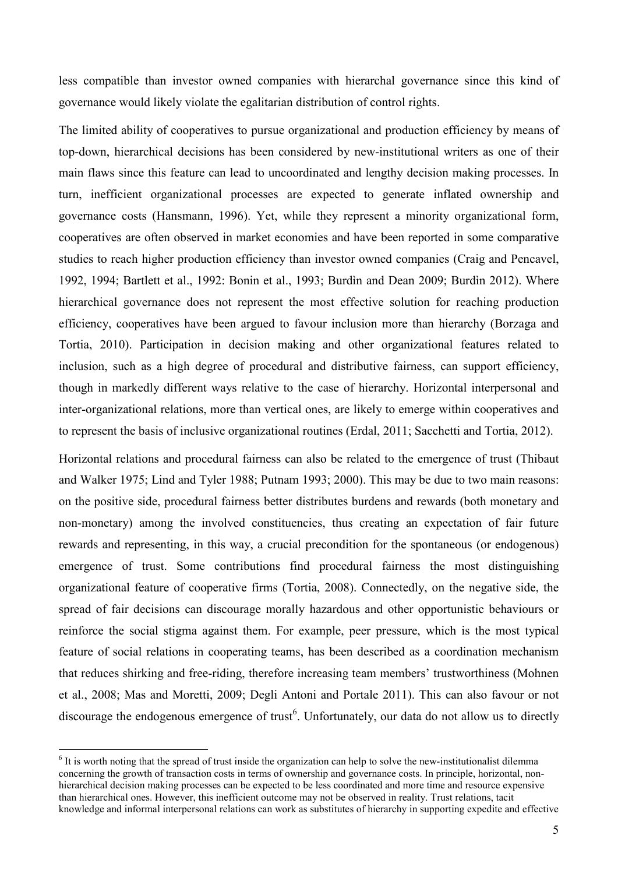less compatible than investor owned companies with hierarchal governance since this kind of governance would likely violate the egalitarian distribution of control rights.

The limited ability of cooperatives to pursue organizational and production efficiency by means of top-down, hierarchical decisions has been considered by new-institutional writers as one of their main flaws since this feature can lead to uncoordinated and lengthy decision making processes. In turn, inefficient organizational processes are expected to generate inflated ownership and governance costs (Hansmann, 1996). Yet, while they represent a minority organizational form, cooperatives are often observed in market economies and have been reported in some comparative studies to reach higher production efficiency than investor owned companies (Craig and Pencavel, 1992, 1994; Bartlett et al., 1992: Bonin et al., 1993; Burdìn and Dean 2009; Burdìn 2012). Where hierarchical governance does not represent the most effective solution for reaching production efficiency, cooperatives have been argued to favour inclusion more than hierarchy (Borzaga and Tortia, 2010). Participation in decision making and other organizational features related to inclusion, such as a high degree of procedural and distributive fairness, can support efficiency, though in markedly different ways relative to the case of hierarchy. Horizontal interpersonal and inter-organizational relations, more than vertical ones, are likely to emerge within cooperatives and to represent the basis of inclusive organizational routines (Erdal, 2011; Sacchetti and Tortia, 2012).

Horizontal relations and procedural fairness can also be related to the emergence of trust (Thibaut and Walker 1975; Lind and Tyler 1988; Putnam 1993; 2000). This may be due to two main reasons: on the positive side, procedural fairness better distributes burdens and rewards (both monetary and non-monetary) among the involved constituencies, thus creating an expectation of fair future rewards and representing, in this way, a crucial precondition for the spontaneous (or endogenous) emergence of trust. Some contributions find procedural fairness the most distinguishing organizational feature of cooperative firms (Tortia, 2008). Connectedly, on the negative side, the spread of fair decisions can discourage morally hazardous and other opportunistic behaviours or reinforce the social stigma against them. For example, peer pressure, which is the most typical feature of social relations in cooperating teams, has been described as a coordination mechanism that reduces shirking and free-riding, therefore increasing team members' trustworthiness (Mohnen et al., 2008; Mas and Moretti, 2009; Degli Antoni and Portale 2011). This can also favour or not discourage the endogenous emergence of trust<sup>6</sup>. Unfortunately, our data do not allow us to directly

<sup>&</sup>lt;sup>6</sup> It is worth noting that the spread of trust inside the organization can help to solve the new-institutionalist dilemma concerning the growth of transaction costs in terms of ownership and governance costs. In principle, horizontal, nonhierarchical decision making processes can be expected to be less coordinated and more time and resource expensive than hierarchical ones. However, this inefficient outcome may not be observed in reality. Trust relations, tacit knowledge and informal interpersonal relations can work as substitutes of hierarchy in supporting expedite and effective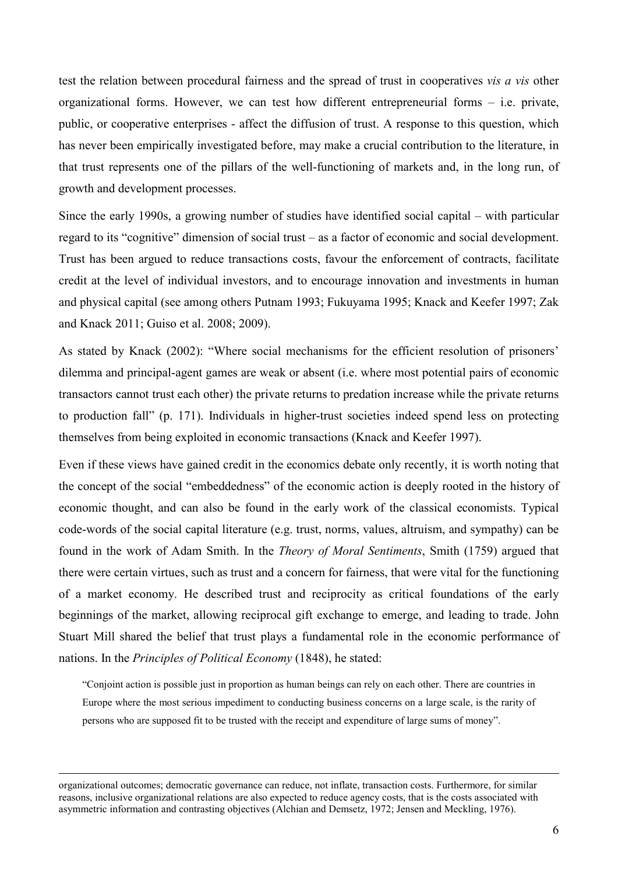test the relation between procedural fairness and the spread of trust in cooperatives *vis a vis* other organizational forms. However, we can test how different entrepreneurial forms – i.e. private, public, or cooperative enterprises - affect the diffusion of trust. A response to this question, which has never been empirically investigated before, may make a crucial contribution to the literature, in that trust represents one of the pillars of the well-functioning of markets and, in the long run, of growth and development processes.

Since the early 1990s, a growing number of studies have identified social capital – with particular regard to its "cognitive" dimension of social trust – as a factor of economic and social development. Trust has been argued to reduce transactions costs, favour the enforcement of contracts, facilitate credit at the level of individual investors, and to encourage innovation and investments in human and physical capital (see among others Putnam 1993; Fukuyama 1995; Knack and Keefer 1997; Zak and Knack 2011; Guiso et al. 2008; 2009).

As stated by Knack (2002): "Where social mechanisms for the efficient resolution of prisoners' dilemma and principal-agent games are weak or absent (i.e. where most potential pairs of economic transactors cannot trust each other) the private returns to predation increase while the private returns to production fall" (p. 171). Individuals in higher-trust societies indeed spend less on protecting themselves from being exploited in economic transactions (Knack and Keefer 1997).

Even if these views have gained credit in the economics debate only recently, it is worth noting that the concept of the social "embeddedness" of the economic action is deeply rooted in the history of economic thought, and can also be found in the early work of the classical economists. Typical code-words of the social capital literature (e.g. trust, norms, values, altruism, and sympathy) can be found in the work of Adam Smith. In the *Theory of Moral Sentiments*, Smith (1759) argued that there were certain virtues, such as trust and a concern for fairness, that were vital for the functioning of a market economy. He described trust and reciprocity as critical foundations of the early beginnings of the market, allowing reciprocal gift exchange to emerge, and leading to trade. John Stuart Mill shared the belief that trust plays a fundamental role in the economic performance of nations. In the *Principles of Political Economy* (1848), he stated:

"Conjoint action is possible just in proportion as human beings can rely on each other. There are countries in Europe where the most serious impediment to conducting business concerns on a large scale, is the rarity of persons who are supposed fit to be trusted with the receipt and expenditure of large sums of money".

organizational outcomes; democratic governance can reduce, not inflate, transaction costs. Furthermore, for similar reasons, inclusive organizational relations are also expected to reduce agency costs, that is the costs associated with asymmetric information and contrasting objectives (Alchian and Demsetz, 1972; Jensen and Meckling, 1976).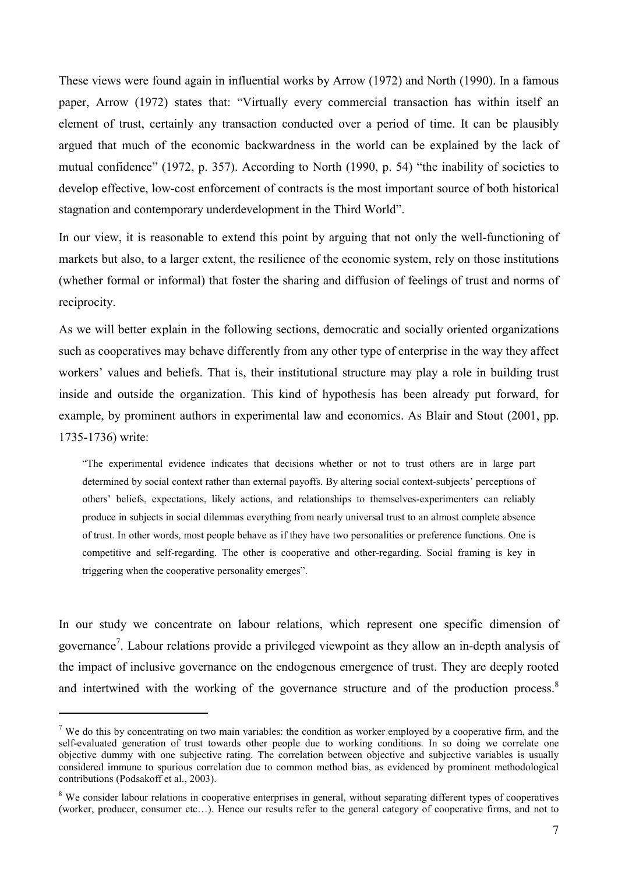These views were found again in influential works by Arrow (1972) and North (1990). In a famous paper, Arrow (1972) states that: "Virtually every commercial transaction has within itself an element of trust, certainly any transaction conducted over a period of time. It can be plausibly argued that much of the economic backwardness in the world can be explained by the lack of mutual confidence" (1972, p. 357). According to North (1990, p. 54) "the inability of societies to develop effective, low-cost enforcement of contracts is the most important source of both historical stagnation and contemporary underdevelopment in the Third World".

In our view, it is reasonable to extend this point by arguing that not only the well-functioning of markets but also, to a larger extent, the resilience of the economic system, rely on those institutions (whether formal or informal) that foster the sharing and diffusion of feelings of trust and norms of reciprocity.

As we will better explain in the following sections, democratic and socially oriented organizations such as cooperatives may behave differently from any other type of enterprise in the way they affect workers' values and beliefs. That is, their institutional structure may play a role in building trust inside and outside the organization. This kind of hypothesis has been already put forward, for example, by prominent authors in experimental law and economics. As Blair and Stout (2001, pp. 1735-1736) write:

"The experimental evidence indicates that decisions whether or not to trust others are in large part determined by social context rather than external payoffs. By altering social context-subjects' perceptions of others' beliefs, expectations, likely actions, and relationships to themselves-experimenters can reliably produce in subjects in social dilemmas everything from nearly universal trust to an almost complete absence of trust. In other words, most people behave as if they have two personalities or preference functions. One is competitive and self-regarding. The other is cooperative and other-regarding. Social framing is key in triggering when the cooperative personality emerges".

In our study we concentrate on labour relations, which represent one specific dimension of governance<sup>7</sup>. Labour relations provide a privileged viewpoint as they allow an in-depth analysis of the impact of inclusive governance on the endogenous emergence of trust. They are deeply rooted and intertwined with the working of the governance structure and of the production process.<sup>8</sup>

<u>.</u>

<sup>&</sup>lt;sup>7</sup> We do this by concentrating on two main variables: the condition as worker employed by a cooperative firm, and the self-evaluated generation of trust towards other people due to working conditions. In so doing we correlate one objective dummy with one subjective rating. The correlation between objective and subjective variables is usually considered immune to spurious correlation due to common method bias, as evidenced by prominent methodological contributions (Podsakoff et al., 2003).

<sup>&</sup>lt;sup>8</sup> We consider labour relations in cooperative enterprises in general, without separating different types of cooperatives (worker, producer, consumer etc…). Hence our results refer to the general category of cooperative firms, and not to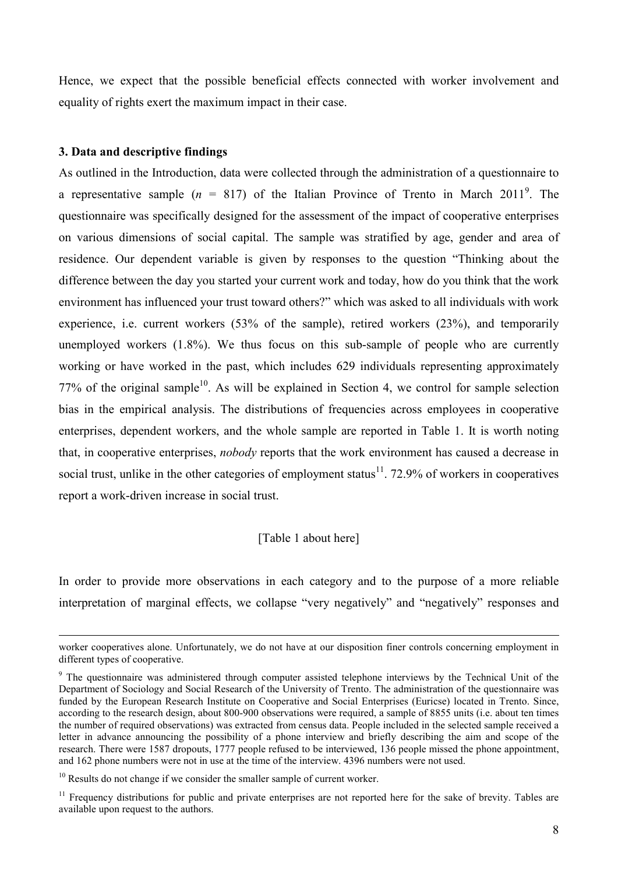Hence, we expect that the possible beneficial effects connected with worker involvement and equality of rights exert the maximum impact in their case.

#### **3. Data and descriptive findings**

<u>.</u>

As outlined in the Introduction, data were collected through the administration of a questionnaire to a representative sample  $(n = 817)$  of the Italian Province of Trento in March 2011<sup>9</sup>. The questionnaire was specifically designed for the assessment of the impact of cooperative enterprises on various dimensions of social capital. The sample was stratified by age, gender and area of residence. Our dependent variable is given by responses to the question "Thinking about the difference between the day you started your current work and today, how do you think that the work environment has influenced your trust toward others?" which was asked to all individuals with work experience, i.e. current workers (53% of the sample), retired workers (23%), and temporarily unemployed workers (1.8%). We thus focus on this sub-sample of people who are currently working or have worked in the past, which includes 629 individuals representing approximately 77% of the original sample<sup>10</sup>. As will be explained in Section 4, we control for sample selection bias in the empirical analysis. The distributions of frequencies across employees in cooperative enterprises, dependent workers, and the whole sample are reported in Table 1. It is worth noting that, in cooperative enterprises, *nobody* reports that the work environment has caused a decrease in social trust, unlike in the other categories of employment status<sup>11</sup>. 72.9% of workers in cooperatives report a work-driven increase in social trust.

#### [Table 1 about here]

In order to provide more observations in each category and to the purpose of a more reliable interpretation of marginal effects, we collapse "very negatively" and "negatively" responses and

worker cooperatives alone. Unfortunately, we do not have at our disposition finer controls concerning employment in different types of cooperative.

<sup>&</sup>lt;sup>9</sup> The questionnaire was administered through computer assisted telephone interviews by the Technical Unit of the Department of Sociology and Social Research of the University of Trento. The administration of the questionnaire was funded by the European Research Institute on Cooperative and Social Enterprises (Euricse) located in Trento. Since, according to the research design, about 800-900 observations were required, a sample of 8855 units (i.e. about ten times the number of required observations) was extracted from census data. People included in the selected sample received a letter in advance announcing the possibility of a phone interview and briefly describing the aim and scope of the research. There were 1587 dropouts, 1777 people refused to be interviewed, 136 people missed the phone appointment, and 162 phone numbers were not in use at the time of the interview. 4396 numbers were not used.

<sup>&</sup>lt;sup>10</sup> Results do not change if we consider the smaller sample of current worker.

<sup>&</sup>lt;sup>11</sup> Frequency distributions for public and private enterprises are not reported here for the sake of brevity. Tables are available upon request to the authors.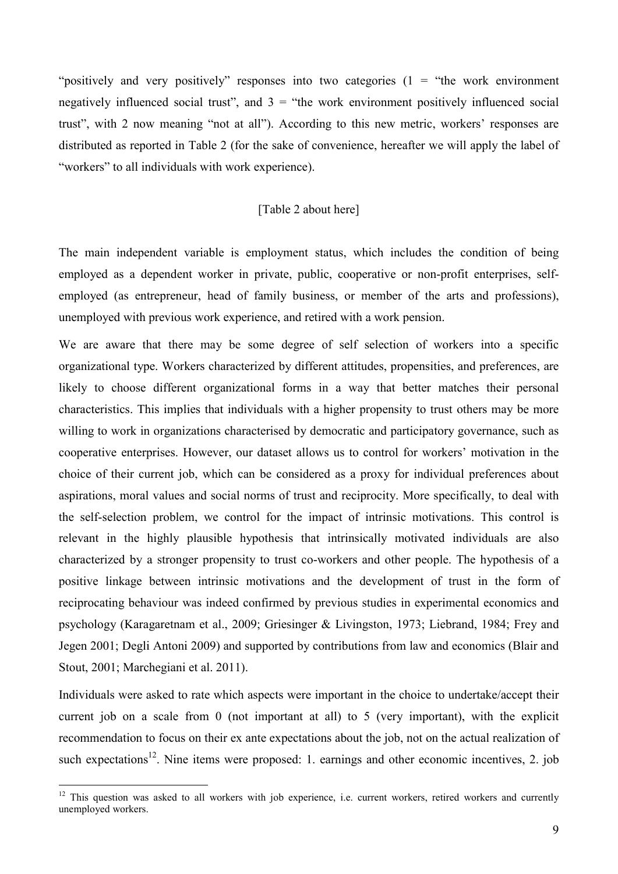"positively and very positively" responses into two categories (1 = "the work environment negatively influenced social trust", and  $3 =$  "the work environment positively influenced social trust", with 2 now meaning "not at all"). According to this new metric, workers' responses are distributed as reported in Table 2 (for the sake of convenience, hereafter we will apply the label of "workers" to all individuals with work experience).

## [Table 2 about here]

The main independent variable is employment status, which includes the condition of being employed as a dependent worker in private, public, cooperative or non-profit enterprises, selfemployed (as entrepreneur, head of family business, or member of the arts and professions), unemployed with previous work experience, and retired with a work pension.

We are aware that there may be some degree of self selection of workers into a specific organizational type. Workers characterized by different attitudes, propensities, and preferences, are likely to choose different organizational forms in a way that better matches their personal characteristics. This implies that individuals with a higher propensity to trust others may be more willing to work in organizations characterised by democratic and participatory governance, such as cooperative enterprises. However, our dataset allows us to control for workers' motivation in the choice of their current job, which can be considered as a proxy for individual preferences about aspirations, moral values and social norms of trust and reciprocity. More specifically, to deal with the self-selection problem, we control for the impact of intrinsic motivations. This control is relevant in the highly plausible hypothesis that intrinsically motivated individuals are also characterized by a stronger propensity to trust co-workers and other people. The hypothesis of a positive linkage between intrinsic motivations and the development of trust in the form of reciprocating behaviour was indeed confirmed by previous studies in experimental economics and psychology (Karagaretnam et al., 2009; Griesinger & Livingston, 1973; Liebrand, 1984; Frey and Jegen 2001; Degli Antoni 2009) and supported by contributions from law and economics (Blair and Stout, 2001; Marchegiani et al. 2011).

Individuals were asked to rate which aspects were important in the choice to undertake/accept their current job on a scale from 0 (not important at all) to 5 (very important), with the explicit recommendation to focus on their ex ante expectations about the job, not on the actual realization of such expectations<sup>12</sup>. Nine items were proposed: 1. earnings and other economic incentives, 2. job

 $12$  This question was asked to all workers with job experience, i.e. current workers, retired workers and currently unemployed workers.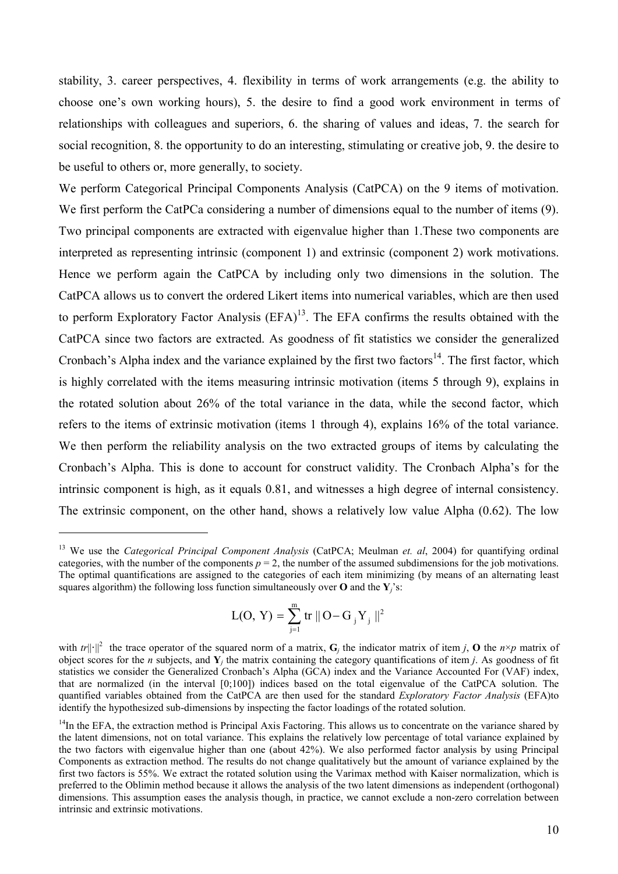stability, 3. career perspectives, 4. flexibility in terms of work arrangements (e.g. the ability to choose one's own working hours), 5. the desire to find a good work environment in terms of relationships with colleagues and superiors, 6. the sharing of values and ideas, 7. the search for social recognition, 8. the opportunity to do an interesting, stimulating or creative job, 9. the desire to be useful to others or, more generally, to society.

We perform Categorical Principal Components Analysis (CatPCA) on the 9 items of motivation. We first perform the CatPCa considering a number of dimensions equal to the number of items (9). Two principal components are extracted with eigenvalue higher than 1.These two components are interpreted as representing intrinsic (component 1) and extrinsic (component 2) work motivations. Hence we perform again the CatPCA by including only two dimensions in the solution. The CatPCA allows us to convert the ordered Likert items into numerical variables, which are then used to perform Exploratory Factor Analysis  $(EFA)^{13}$ . The EFA confirms the results obtained with the CatPCA since two factors are extracted. As goodness of fit statistics we consider the generalized Cronbach's Alpha index and the variance explained by the first two factors<sup>14</sup>. The first factor, which is highly correlated with the items measuring intrinsic motivation (items 5 through 9), explains in the rotated solution about 26% of the total variance in the data, while the second factor, which refers to the items of extrinsic motivation (items 1 through 4), explains 16% of the total variance. We then perform the reliability analysis on the two extracted groups of items by calculating the Cronbach's Alpha. This is done to account for construct validity. The Cronbach Alpha's for the intrinsic component is high, as it equals 0.81, and witnesses a high degree of internal consistency. The extrinsic component, on the other hand, shows a relatively low value Alpha (0.62). The low

$$
L(O,\,Y)=\sum_{j=1}^m\,tr\,\|\,O\!-\!G\,\mathstrut_j\,Y\,\mathstrut_j\,\,\|^{2}
$$

<sup>13</sup> We use the *Categorical Principal Component Analysis* (CatPCA; Meulman *et. al*, 2004) for quantifying ordinal categories, with the number of the components  $p = 2$ , the number of the assumed subdimensions for the job motivations. The optimal quantifications are assigned to the categories of each item minimizing (by means of an alternating least squares algorithm) the following loss function simultaneously over **O** and the  $Y_i$ 's:

with  $tr\|\cdot\|^2$  the trace operator of the squared norm of a matrix,  $G_j$  the indicator matrix of item *j*, **O** the  $n \times p$  matrix of object scores for the *n* subjects, and  $Y_j$  the matrix containing the category quantifications of item *j*. As goodness of fit statistics we consider the Generalized Cronbach's Alpha (GCA) index and the Variance Accounted For (VAF) index, that are normalized (in the interval [0;100]) indices based on the total eigenvalue of the CatPCA solution. The quantified variables obtained from the CatPCA are then used for the standard *Exploratory Factor Analysis* (EFA)to identify the hypothesized sub-dimensions by inspecting the factor loadings of the rotated solution.

 $14$ In the EFA, the extraction method is Principal Axis Factoring. This allows us to concentrate on the variance shared by the latent dimensions, not on total variance. This explains the relatively low percentage of total variance explained by the two factors with eigenvalue higher than one (about 42%). We also performed factor analysis by using Principal Components as extraction method. The results do not change qualitatively but the amount of variance explained by the first two factors is 55%. We extract the rotated solution using the Varimax method with Kaiser normalization, which is preferred to the Oblimin method because it allows the analysis of the two latent dimensions as independent (orthogonal) dimensions. This assumption eases the analysis though, in practice, we cannot exclude a non-zero correlation between intrinsic and extrinsic motivations.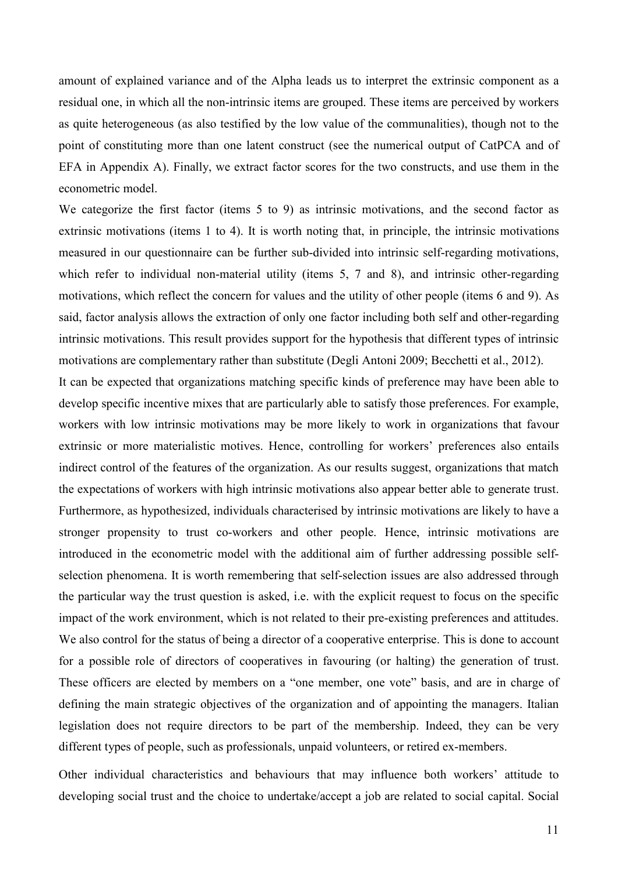amount of explained variance and of the Alpha leads us to interpret the extrinsic component as a residual one, in which all the non-intrinsic items are grouped. These items are perceived by workers as quite heterogeneous (as also testified by the low value of the communalities), though not to the point of constituting more than one latent construct (see the numerical output of CatPCA and of EFA in Appendix A). Finally, we extract factor scores for the two constructs, and use them in the econometric model.

We categorize the first factor (items 5 to 9) as intrinsic motivations, and the second factor as extrinsic motivations (items 1 to 4). It is worth noting that, in principle, the intrinsic motivations measured in our questionnaire can be further sub-divided into intrinsic self-regarding motivations, which refer to individual non-material utility (items 5, 7 and 8), and intrinsic other-regarding motivations, which reflect the concern for values and the utility of other people (items 6 and 9). As said, factor analysis allows the extraction of only one factor including both self and other-regarding intrinsic motivations. This result provides support for the hypothesis that different types of intrinsic motivations are complementary rather than substitute (Degli Antoni 2009; Becchetti et al., 2012).

It can be expected that organizations matching specific kinds of preference may have been able to develop specific incentive mixes that are particularly able to satisfy those preferences. For example, workers with low intrinsic motivations may be more likely to work in organizations that favour extrinsic or more materialistic motives. Hence, controlling for workers' preferences also entails indirect control of the features of the organization. As our results suggest, organizations that match the expectations of workers with high intrinsic motivations also appear better able to generate trust. Furthermore, as hypothesized, individuals characterised by intrinsic motivations are likely to have a stronger propensity to trust co-workers and other people. Hence, intrinsic motivations are introduced in the econometric model with the additional aim of further addressing possible selfselection phenomena. It is worth remembering that self-selection issues are also addressed through the particular way the trust question is asked, i.e. with the explicit request to focus on the specific impact of the work environment, which is not related to their pre-existing preferences and attitudes. We also control for the status of being a director of a cooperative enterprise. This is done to account for a possible role of directors of cooperatives in favouring (or halting) the generation of trust. These officers are elected by members on a "one member, one vote" basis, and are in charge of defining the main strategic objectives of the organization and of appointing the managers. Italian legislation does not require directors to be part of the membership. Indeed, they can be very different types of people, such as professionals, unpaid volunteers, or retired ex-members.

Other individual characteristics and behaviours that may influence both workers' attitude to developing social trust and the choice to undertake/accept a job are related to social capital. Social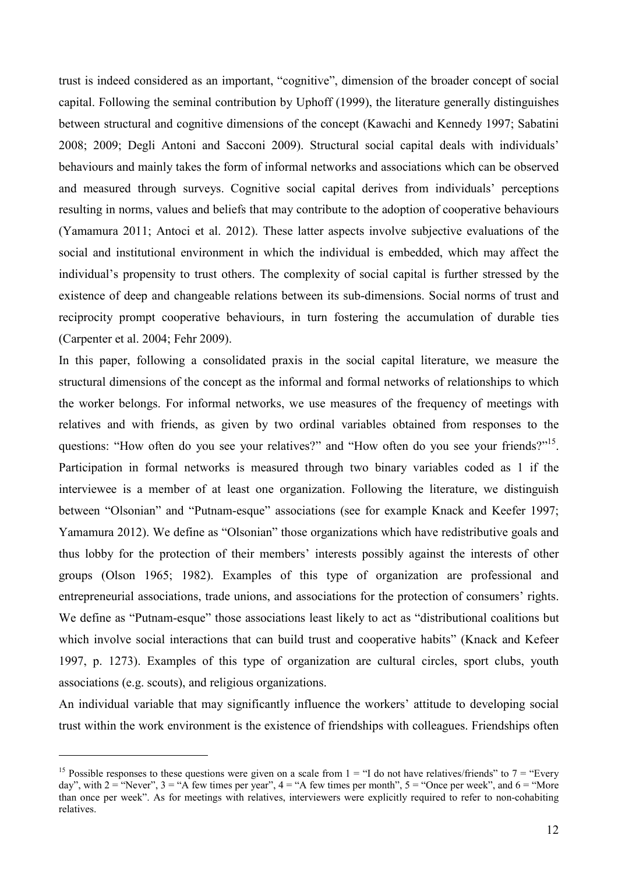trust is indeed considered as an important, "cognitive", dimension of the broader concept of social capital. Following the seminal contribution by Uphoff (1999), the literature generally distinguishes between structural and cognitive dimensions of the concept (Kawachi and Kennedy 1997; Sabatini 2008; 2009; Degli Antoni and Sacconi 2009). Structural social capital deals with individuals' behaviours and mainly takes the form of informal networks and associations which can be observed and measured through surveys. Cognitive social capital derives from individuals' perceptions resulting in norms, values and beliefs that may contribute to the adoption of cooperative behaviours (Yamamura 2011; Antoci et al. 2012). These latter aspects involve subjective evaluations of the social and institutional environment in which the individual is embedded, which may affect the individual's propensity to trust others. The complexity of social capital is further stressed by the existence of deep and changeable relations between its sub-dimensions. Social norms of trust and reciprocity prompt cooperative behaviours, in turn fostering the accumulation of durable ties (Carpenter et al. 2004; Fehr 2009).

In this paper, following a consolidated praxis in the social capital literature, we measure the structural dimensions of the concept as the informal and formal networks of relationships to which the worker belongs. For informal networks, we use measures of the frequency of meetings with relatives and with friends, as given by two ordinal variables obtained from responses to the questions: "How often do you see your relatives?" and "How often do you see your friends?"<sup>15</sup>. Participation in formal networks is measured through two binary variables coded as 1 if the interviewee is a member of at least one organization. Following the literature, we distinguish between "Olsonian" and "Putnam-esque" associations (see for example Knack and Keefer 1997; Yamamura 2012). We define as "Olsonian" those organizations which have redistributive goals and thus lobby for the protection of their members' interests possibly against the interests of other groups (Olson 1965; 1982). Examples of this type of organization are professional and entrepreneurial associations, trade unions, and associations for the protection of consumers' rights. We define as "Putnam-esque" those associations least likely to act as "distributional coalitions but which involve social interactions that can build trust and cooperative habits" (Knack and Kefeer 1997, p. 1273). Examples of this type of organization are cultural circles, sport clubs, youth associations (e.g. scouts), and religious organizations.

An individual variable that may significantly influence the workers' attitude to developing social trust within the work environment is the existence of friendships with colleagues. Friendships often

<u>.</u>

<sup>&</sup>lt;sup>15</sup> Possible responses to these questions were given on a scale from  $1 =$  "I do not have relatives/friends" to  $7 =$  "Every" day", with  $2 =$  "Never",  $3 =$  "A few times per year",  $4 =$  "A few times per month",  $5 =$  "Once per week", and  $6 =$  "More" than once per week". As for meetings with relatives, interviewers were explicitly required to refer to non-cohabiting relatives.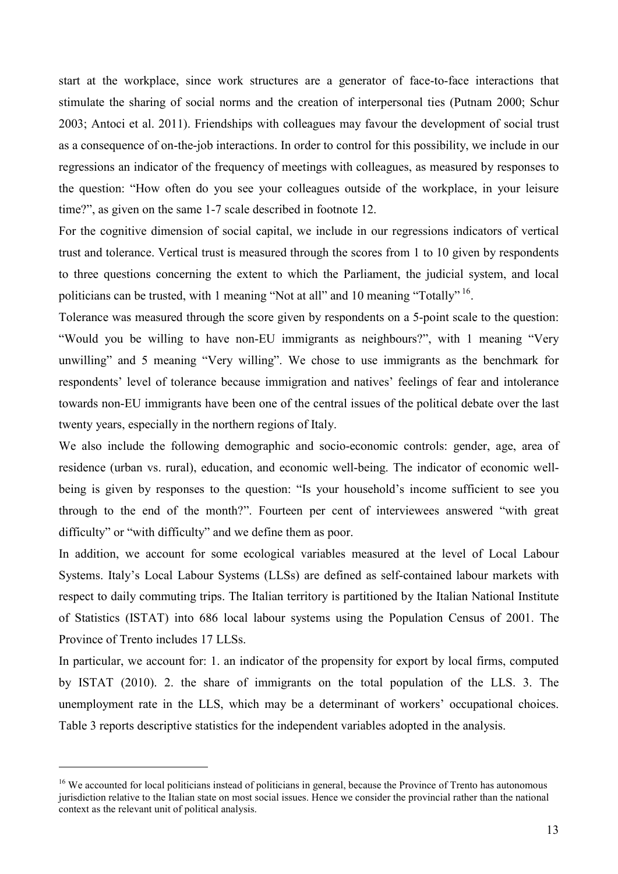start at the workplace, since work structures are a generator of face-to-face interactions that stimulate the sharing of social norms and the creation of interpersonal ties (Putnam 2000; Schur 2003; Antoci et al. 2011). Friendships with colleagues may favour the development of social trust as a consequence of on-the-job interactions. In order to control for this possibility, we include in our regressions an indicator of the frequency of meetings with colleagues, as measured by responses to the question: "How often do you see your colleagues outside of the workplace, in your leisure time?", as given on the same 1-7 scale described in footnote 12.

For the cognitive dimension of social capital, we include in our regressions indicators of vertical trust and tolerance. Vertical trust is measured through the scores from 1 to 10 given by respondents to three questions concerning the extent to which the Parliament, the judicial system, and local politicians can be trusted, with 1 meaning "Not at all" and 10 meaning "Totally"<sup>16</sup>.

Tolerance was measured through the score given by respondents on a 5-point scale to the question: "Would you be willing to have non-EU immigrants as neighbours?", with 1 meaning "Very unwilling" and 5 meaning "Very willing". We chose to use immigrants as the benchmark for respondents' level of tolerance because immigration and natives' feelings of fear and intolerance towards non-EU immigrants have been one of the central issues of the political debate over the last twenty years, especially in the northern regions of Italy.

We also include the following demographic and socio-economic controls: gender, age, area of residence (urban vs. rural), education, and economic well-being. The indicator of economic wellbeing is given by responses to the question: "Is your household's income sufficient to see you through to the end of the month?". Fourteen per cent of interviewees answered "with great difficulty" or "with difficulty" and we define them as poor.

In addition, we account for some ecological variables measured at the level of Local Labour Systems. Italy's Local Labour Systems (LLSs) are defined as self-contained labour markets with respect to daily commuting trips. The Italian territory is partitioned by the Italian National Institute of Statistics (ISTAT) into 686 local labour systems using the Population Census of 2001. The Province of Trento includes 17 LLSs.

In particular, we account for: 1. an indicator of the propensity for export by local firms, computed by ISTAT (2010). 2. the share of immigrants on the total population of the LLS. 3. The unemployment rate in the LLS, which may be a determinant of workers' occupational choices. Table 3 reports descriptive statistics for the independent variables adopted in the analysis.

<sup>&</sup>lt;sup>16</sup> We accounted for local politicians instead of politicians in general, because the Province of Trento has autonomous jurisdiction relative to the Italian state on most social issues. Hence we consider the provincial rather than the national context as the relevant unit of political analysis.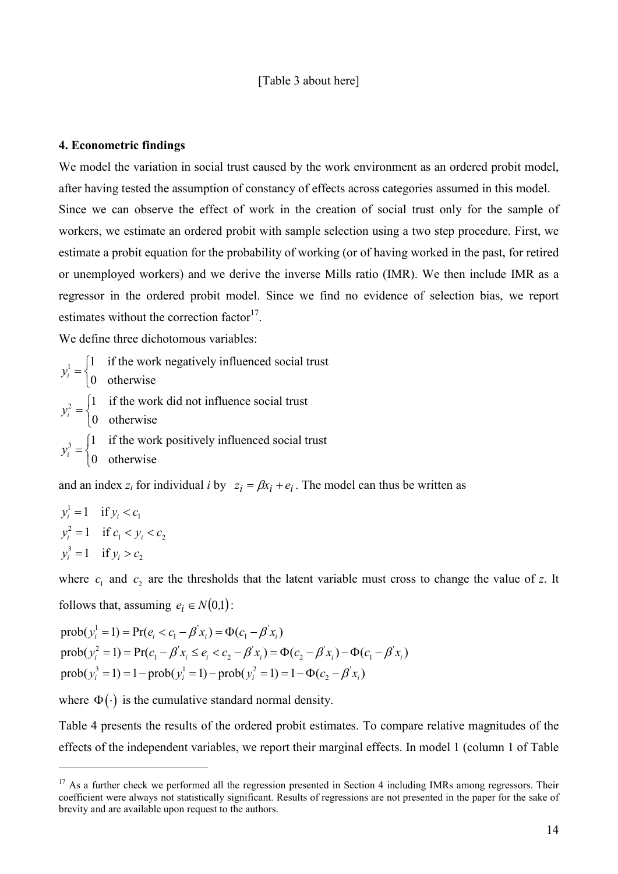### [Table 3 about here]

#### **4. Econometric findings**

We model the variation in social trust caused by the work environment as an ordered probit model, after having tested the assumption of constancy of effects across categories assumed in this model. Since we can observe the effect of work in the creation of social trust only for the sample of workers, we estimate an ordered probit with sample selection using a two step procedure. First, we estimate a probit equation for the probability of working (or of having worked in the past, for retired or unemployed workers) and we derive the inverse Mills ratio (IMR). We then include IMR as a regressor in the ordered probit model. Since we find no evidence of selection bias, we report estimates without the correction factor $17$ .

We define three dichotomous variables:

$$
y_i^1 = \begin{cases} 1 & \text{if the work negatively influenced social trust} \\ 0 & \text{otherwise} \end{cases}
$$
  

$$
y_i^2 = \begin{cases} 1 & \text{if the work did not influence social trust} \\ 0 & \text{otherwise} \end{cases}
$$
  

$$
y_i^3 = \begin{cases} 1 & \text{if the work positively influenced social trust} \\ 0 & \text{otherwise} \end{cases}
$$

and an index  $z_i$  for individual *i* by  $z_i = \beta x_i + e_i$ . The model can thus be written as

$$
y_i^1 = 1 \quad \text{if } y_i < c_1
$$
\n
$$
y_i^2 = 1 \quad \text{if } c_1 < y_i < c_2
$$
\n
$$
y_i^3 = 1 \quad \text{if } y_i > c_2
$$

-

where  $c_1$  and  $c_2$  are the thresholds that the latent variable must cross to change the value of *z*. It follows that, assuming  $e_i \in N(0,1)$ :

$$
\text{prob}(y_i^1 = 1) = \Pr(e_i < c_1 - \beta' x_i) = \Phi(c_1 - \beta' x_i)
$$
\n
$$
\text{prob}(y_i^2 = 1) = \Pr(c_1 - \beta' x_i \le e_i < c_2 - \beta' x_i) = \Phi(c_2 - \beta' x_i) - \Phi(c_1 - \beta' x_i)
$$
\n
$$
\text{prob}(y_i^3 = 1) = 1 - \text{prob}(y_i^1 = 1) - \text{prob}(y_i^2 = 1) = 1 - \Phi(c_2 - \beta' x_i)
$$

where  $\Phi(\cdot)$  is the cumulative standard normal density.

Table 4 presents the results of the ordered probit estimates. To compare relative magnitudes of the effects of the independent variables, we report their marginal effects. In model 1 (column 1 of Table

 $17$  As a further check we performed all the regression presented in Section 4 including IMRs among regressors. Their coefficient were always not statistically significant. Results of regressions are not presented in the paper for the sake of brevity and are available upon request to the authors.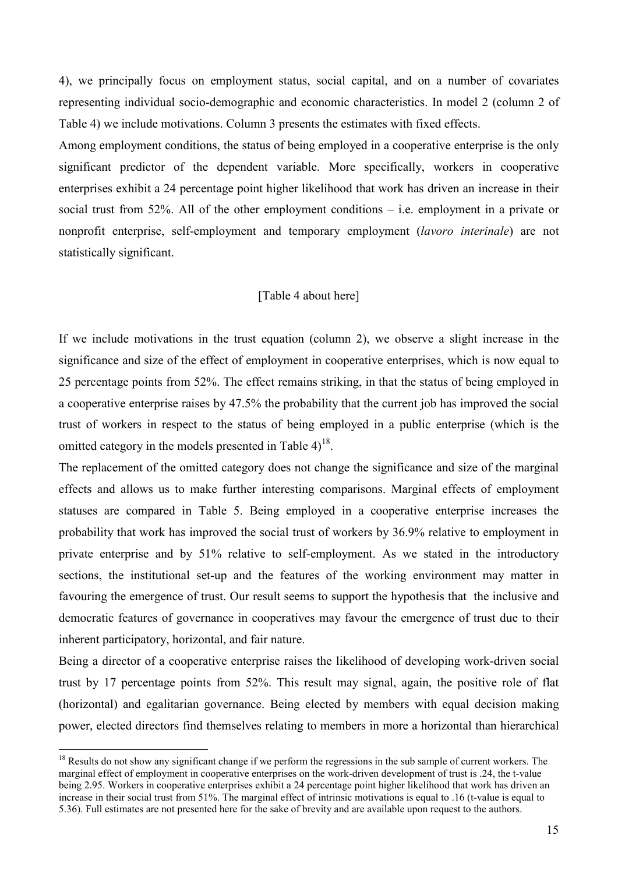4), we principally focus on employment status, social capital, and on a number of covariates representing individual socio-demographic and economic characteristics. In model 2 (column 2 of Table 4) we include motivations. Column 3 presents the estimates with fixed effects.

Among employment conditions, the status of being employed in a cooperative enterprise is the only significant predictor of the dependent variable. More specifically, workers in cooperative enterprises exhibit a 24 percentage point higher likelihood that work has driven an increase in their social trust from 52%. All of the other employment conditions – i.e. employment in a private or nonprofit enterprise, self-employment and temporary employment (*lavoro interinale*) are not statistically significant.

### [Table 4 about here]

If we include motivations in the trust equation (column 2), we observe a slight increase in the significance and size of the effect of employment in cooperative enterprises, which is now equal to 25 percentage points from 52%. The effect remains striking, in that the status of being employed in a cooperative enterprise raises by 47.5% the probability that the current job has improved the social trust of workers in respect to the status of being employed in a public enterprise (which is the omitted category in the models presented in Table  $4$ <sup>18</sup>.

The replacement of the omitted category does not change the significance and size of the marginal effects and allows us to make further interesting comparisons. Marginal effects of employment statuses are compared in Table 5. Being employed in a cooperative enterprise increases the probability that work has improved the social trust of workers by 36.9% relative to employment in private enterprise and by 51% relative to self-employment. As we stated in the introductory sections, the institutional set-up and the features of the working environment may matter in favouring the emergence of trust. Our result seems to support the hypothesis that the inclusive and democratic features of governance in cooperatives may favour the emergence of trust due to their inherent participatory, horizontal, and fair nature.

Being a director of a cooperative enterprise raises the likelihood of developing work-driven social trust by 17 percentage points from 52%. This result may signal, again, the positive role of flat (horizontal) and egalitarian governance. Being elected by members with equal decision making power, elected directors find themselves relating to members in more a horizontal than hierarchical

<sup>&</sup>lt;sup>18</sup> Results do not show any significant change if we perform the regressions in the sub sample of current workers. The marginal effect of employment in cooperative enterprises on the work-driven development of trust is .24, the t-value being 2.95. Workers in cooperative enterprises exhibit a 24 percentage point higher likelihood that work has driven an increase in their social trust from 51%. The marginal effect of intrinsic motivations is equal to .16 (t-value is equal to 5.36). Full estimates are not presented here for the sake of brevity and are available upon request to the authors.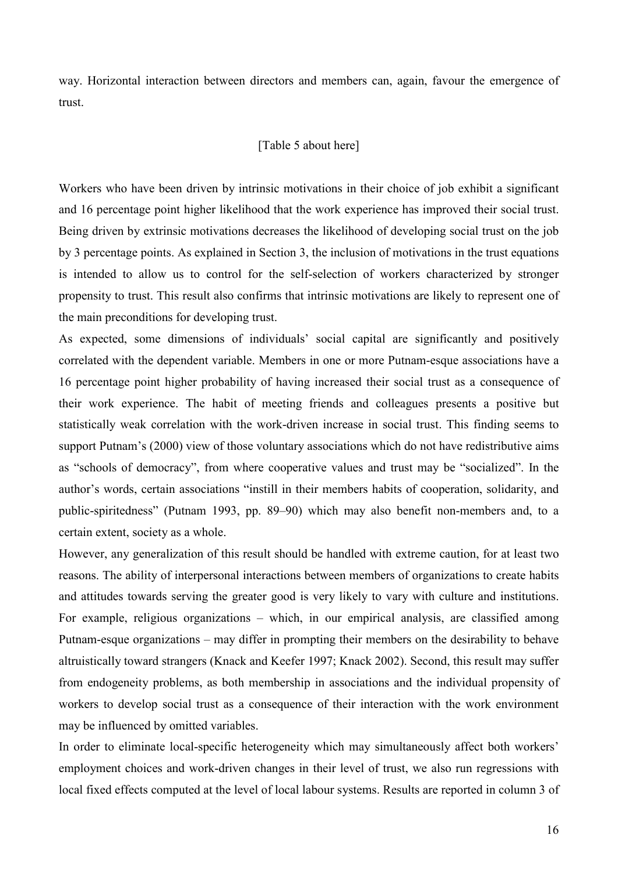way. Horizontal interaction between directors and members can, again, favour the emergence of trust.

## [Table 5 about here]

Workers who have been driven by intrinsic motivations in their choice of job exhibit a significant and 16 percentage point higher likelihood that the work experience has improved their social trust. Being driven by extrinsic motivations decreases the likelihood of developing social trust on the job by 3 percentage points. As explained in Section 3, the inclusion of motivations in the trust equations is intended to allow us to control for the self-selection of workers characterized by stronger propensity to trust. This result also confirms that intrinsic motivations are likely to represent one of the main preconditions for developing trust.

As expected, some dimensions of individuals' social capital are significantly and positively correlated with the dependent variable. Members in one or more Putnam-esque associations have a 16 percentage point higher probability of having increased their social trust as a consequence of their work experience. The habit of meeting friends and colleagues presents a positive but statistically weak correlation with the work-driven increase in social trust. This finding seems to support Putnam's (2000) view of those voluntary associations which do not have redistributive aims as "schools of democracy", from where cooperative values and trust may be "socialized". In the author's words, certain associations "instill in their members habits of cooperation, solidarity, and public-spiritedness" (Putnam 1993, pp. 89–90) which may also benefit non-members and, to a certain extent, society as a whole.

However, any generalization of this result should be handled with extreme caution, for at least two reasons. The ability of interpersonal interactions between members of organizations to create habits and attitudes towards serving the greater good is very likely to vary with culture and institutions. For example, religious organizations – which, in our empirical analysis, are classified among Putnam-esque organizations – may differ in prompting their members on the desirability to behave altruistically toward strangers (Knack and Keefer 1997; Knack 2002). Second, this result may suffer from endogeneity problems, as both membership in associations and the individual propensity of workers to develop social trust as a consequence of their interaction with the work environment may be influenced by omitted variables.

In order to eliminate local-specific heterogeneity which may simultaneously affect both workers' employment choices and work-driven changes in their level of trust, we also run regressions with local fixed effects computed at the level of local labour systems. Results are reported in column 3 of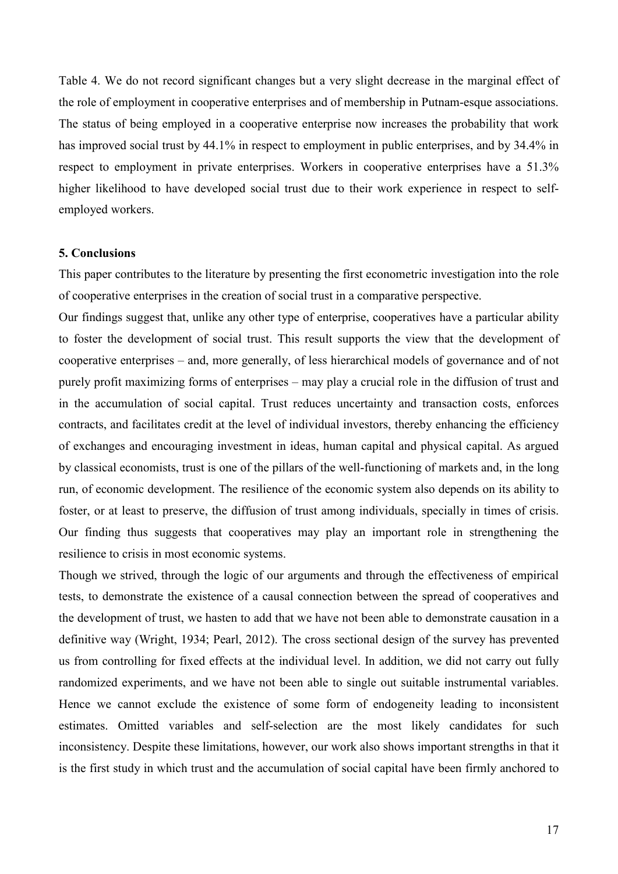Table 4. We do not record significant changes but a very slight decrease in the marginal effect of the role of employment in cooperative enterprises and of membership in Putnam-esque associations. The status of being employed in a cooperative enterprise now increases the probability that work has improved social trust by 44.1% in respect to employment in public enterprises, and by 34.4% in respect to employment in private enterprises. Workers in cooperative enterprises have a 51.3% higher likelihood to have developed social trust due to their work experience in respect to selfemployed workers.

#### **5. Conclusions**

This paper contributes to the literature by presenting the first econometric investigation into the role of cooperative enterprises in the creation of social trust in a comparative perspective.

Our findings suggest that, unlike any other type of enterprise, cooperatives have a particular ability to foster the development of social trust. This result supports the view that the development of cooperative enterprises – and, more generally, of less hierarchical models of governance and of not purely profit maximizing forms of enterprises – may play a crucial role in the diffusion of trust and in the accumulation of social capital. Trust reduces uncertainty and transaction costs, enforces contracts, and facilitates credit at the level of individual investors, thereby enhancing the efficiency of exchanges and encouraging investment in ideas, human capital and physical capital. As argued by classical economists, trust is one of the pillars of the well-functioning of markets and, in the long run, of economic development. The resilience of the economic system also depends on its ability to foster, or at least to preserve, the diffusion of trust among individuals, specially in times of crisis. Our finding thus suggests that cooperatives may play an important role in strengthening the resilience to crisis in most economic systems.

Though we strived, through the logic of our arguments and through the effectiveness of empirical tests, to demonstrate the existence of a causal connection between the spread of cooperatives and the development of trust, we hasten to add that we have not been able to demonstrate causation in a definitive way (Wright, 1934; Pearl, 2012). The cross sectional design of the survey has prevented us from controlling for fixed effects at the individual level. In addition, we did not carry out fully randomized experiments, and we have not been able to single out suitable instrumental variables. Hence we cannot exclude the existence of some form of endogeneity leading to inconsistent estimates. Omitted variables and self-selection are the most likely candidates for such inconsistency. Despite these limitations, however, our work also shows important strengths in that it is the first study in which trust and the accumulation of social capital have been firmly anchored to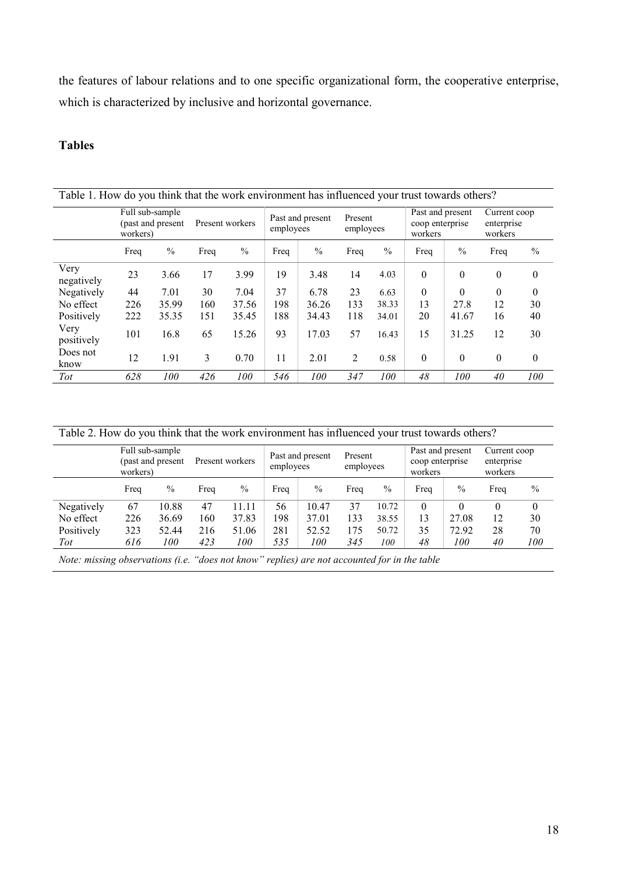the features of labour relations and to one specific organizational form, the cooperative enterprise, which is characterized by inclusive and horizontal governance.

# **Tables**

| Table 1. How do you think that the work environment has influenced your trust towards others? |                                                   |               |                 |       |                               |       |                      |               |                                                |               |                                       |               |
|-----------------------------------------------------------------------------------------------|---------------------------------------------------|---------------|-----------------|-------|-------------------------------|-------|----------------------|---------------|------------------------------------------------|---------------|---------------------------------------|---------------|
|                                                                                               | Full sub-sample<br>(past and present)<br>workers) |               | Present workers |       | Past and present<br>employees |       | Present<br>employees |               | Past and present<br>coop enterprise<br>workers |               | Current coop<br>enterprise<br>workers |               |
|                                                                                               | Freq                                              | $\frac{0}{0}$ | Freq            | $\%$  | Freq                          | $\%$  | Freq                 | $\frac{0}{0}$ | Freq                                           | $\frac{0}{0}$ | Freq                                  | $\frac{0}{0}$ |
| Very<br>negatively                                                                            | 23                                                | 3.66          | 17              | 3.99  | 19                            | 3.48  | 14                   | 4.03          | $\theta$                                       | $\theta$      | $\mathbf{0}$                          | $\mathbf{0}$  |
| Negatively                                                                                    | 44                                                | 7.01          | 30              | 7.04  | 37                            | 6.78  | 23                   | 6.63          | $\theta$                                       | $\Omega$      | $\theta$                              | $\mathbf{0}$  |
| No effect                                                                                     | 226                                               | 35.99         | 160             | 37.56 | 198                           | 36.26 | 133                  | 38.33         | 13                                             | 27.8          | 12                                    | 30            |
| Positively                                                                                    | 222                                               | 35.35         | 151             | 35.45 | 188                           | 34.43 | 118                  | 34.01         | 20                                             | 41.67         | 16                                    | 40            |
| Very<br>positively                                                                            | 101                                               | 16.8          | 65              | 15.26 | 93                            | 17.03 | 57                   | 16.43         | 15                                             | 31.25         | 12                                    | 30            |
| Does not<br>know                                                                              | 12                                                | 1.91          | 3               | 0.70  | 11                            | 2.01  | 2                    | 0.58          | $\theta$                                       | $\Omega$      | $\mathbf{0}$                          | $\theta$      |
| Tot                                                                                           | 628                                               | 100           | 426             | 100   | 546                           | 100   | 347                  | 100           | 48                                             | 100           | 40                                    | 100           |

|  | Table 2. How do you think that the work environment has influenced your trust towards others? |  |
|--|-----------------------------------------------------------------------------------------------|--|
|  |                                                                                               |  |

|            | Full sub-sample<br>(past and present)<br>workers) |       | Past and present<br>Present workers<br>employees |               |      | Past and present<br>Present<br>coop enterprise<br>employees<br>workers |      | Current coop<br>enterprise<br>workers |          |               |      |          |
|------------|---------------------------------------------------|-------|--------------------------------------------------|---------------|------|------------------------------------------------------------------------|------|---------------------------------------|----------|---------------|------|----------|
|            | Freq                                              | $\%$  | Freq                                             | $\frac{0}{0}$ | Freq | $\frac{0}{0}$                                                          | Freq | $\frac{0}{0}$                         | Freq     | $\frac{0}{0}$ | Freq | $\%$     |
| Negatively | 67                                                | 10.88 | 47                                               | 11.11         | 56   | 10.47                                                                  | 37   | 10.72                                 | $\Omega$ |               |      | $\theta$ |
| No effect  | 226                                               | 36.69 | 160                                              | 37.83         | 198  | 37.01                                                                  | 133  | 38.55                                 | 13       | 27.08         | 12   | 30       |
| Positively | 323                                               | 52.44 | 216                                              | 51.06         | 281  | 52.52                                                                  | 175  | 50.72                                 | 35       | 72.92         | 28   | 70       |
| Tot        | 616                                               | 100   | 423                                              | 100           | 535  | 100                                                                    | 345  | 100                                   | 48       | 100           | 40   | 100      |

*Note: missing observations (i.e. "does not know" replies) are not accounted for in the table*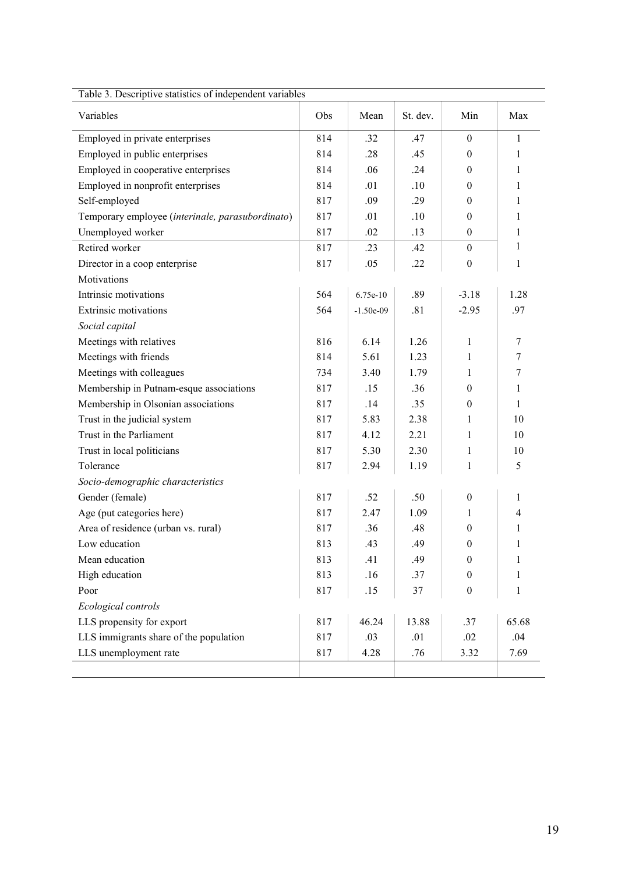| rable 5. Descriptive statistics of independent variables |     |             |          |                  |              |
|----------------------------------------------------------|-----|-------------|----------|------------------|--------------|
| Variables                                                | Obs | Mean        | St. dev. | Min              | Max          |
| Employed in private enterprises                          | 814 | .32         | .47      | $\boldsymbol{0}$ | $\mathbf{1}$ |
| Employed in public enterprises                           | 814 | .28         | .45      | $\theta$         | 1            |
| Employed in cooperative enterprises                      | 814 | .06         | .24      | $\mathbf{0}$     | 1            |
| Employed in nonprofit enterprises                        | 814 | .01         | .10      | $\theta$         | 1            |
| Self-employed                                            | 817 | .09         | .29      | $\mathbf{0}$     | 1            |
| Temporary employee (interinale, parasubordinato)         | 817 | .01         | .10      | $\theta$         | 1            |
| Unemployed worker                                        | 817 | .02         | .13      | $\boldsymbol{0}$ | 1            |
| Retired worker                                           | 817 | .23         | .42      | $\boldsymbol{0}$ | 1            |
| Director in a coop enterprise                            | 817 | .05         | .22      | $\boldsymbol{0}$ | $\mathbf{1}$ |
| Motivations                                              |     |             |          |                  |              |
| Intrinsic motivations                                    | 564 | 6.75e-10    | .89      | $-3.18$          | 1.28         |
| <b>Extrinsic motivations</b>                             | 564 | $-1.50e-09$ | .81      | $-2.95$          | .97          |
| Social capital                                           |     |             |          |                  |              |
| Meetings with relatives                                  | 816 | 6.14        | 1.26     | 1                | 7            |
| Meetings with friends                                    | 814 | 5.61        | 1.23     | 1                | 7            |
| Meetings with colleagues                                 | 734 | 3.40        | 1.79     | 1                | 7            |
| Membership in Putnam-esque associations                  | 817 | .15         | .36      | $\mathbf{0}$     | 1            |
| Membership in Olsonian associations                      | 817 | .14         | .35      | $\mathbf{0}$     | 1            |
| Trust in the judicial system                             | 817 | 5.83        | 2.38     | 1                | 10           |
| Trust in the Parliament                                  | 817 | 4.12        | 2.21     | 1                | 10           |
| Trust in local politicians                               | 817 | 5.30        | 2.30     | 1                | 10           |
| Tolerance                                                | 817 | 2.94        | 1.19     | 1                | 5            |
| Socio-demographic characteristics                        |     |             |          |                  |              |
| Gender (female)                                          | 817 | .52         | .50      | $\boldsymbol{0}$ | 1            |
| Age (put categories here)                                | 817 | 2.47        | 1.09     | 1                | 4            |
| Area of residence (urban vs. rural)                      | 817 | .36         | .48      | $\mathbf{0}$     | 1            |
| Low education                                            | 813 | .43         | .49      | $\theta$         | 1            |
| Mean education                                           | 813 | .41         | .49      | $\theta$         |              |
| High education                                           | 813 | .16         | .37      | $\mathbf{0}$     | 1            |
| Poor                                                     | 817 | .15         | 37       | $\boldsymbol{0}$ | 1            |
| Ecological controls                                      |     |             |          |                  |              |
| LLS propensity for export                                | 817 | 46.24       | 13.88    | .37              | 65.68        |
| LLS immigrants share of the population                   | 817 | .03         | .01      | .02              | .04          |
| LLS unemployment rate                                    | 817 | 4.28        | .76      | 3.32             | 7.69         |
|                                                          |     |             |          |                  |              |

Table 3. Descriptive statistics of independent variables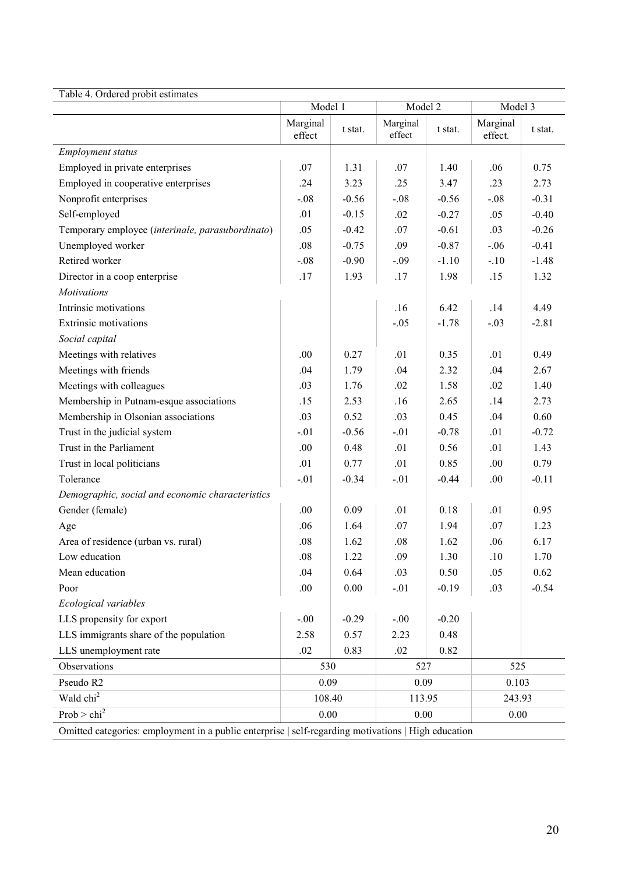|                                                                                                     | Model 1            |         | Model 2            |         |                     | Model 3 |  |
|-----------------------------------------------------------------------------------------------------|--------------------|---------|--------------------|---------|---------------------|---------|--|
|                                                                                                     | Marginal<br>effect | t stat. | Marginal<br>effect | t stat. | Marginal<br>effect. | t stat. |  |
| <b>Employment status</b>                                                                            |                    |         |                    |         |                     |         |  |
| Employed in private enterprises                                                                     | .07                | 1.31    | .07                | 1.40    | .06                 | 0.75    |  |
| Employed in cooperative enterprises                                                                 | .24                | 3.23    | .25                | 3.47    | .23                 | 2.73    |  |
| Nonprofit enterprises                                                                               | $-.08$             | $-0.56$ | $-.08$             | $-0.56$ | $-.08$              | $-0.31$ |  |
| Self-employed                                                                                       | .01                | $-0.15$ | .02                | $-0.27$ | .05                 | $-0.40$ |  |
| Temporary employee (interinale, parasubordinato)                                                    | .05                | $-0.42$ | .07                | $-0.61$ | .03                 | $-0.26$ |  |
| Unemployed worker                                                                                   | .08                | $-0.75$ | .09                | $-0.87$ | $-.06$              | $-0.41$ |  |
| Retired worker                                                                                      | $-.08$             | $-0.90$ | $-.09$             | $-1.10$ | $-.10$              | $-1.48$ |  |
| Director in a coop enterprise                                                                       | .17                | 1.93    | .17                | 1.98    | .15                 | 1.32    |  |
| <b>Motivations</b>                                                                                  |                    |         |                    |         |                     |         |  |
| Intrinsic motivations                                                                               |                    |         | .16                | 6.42    | .14                 | 4.49    |  |
| <b>Extrinsic motivations</b>                                                                        |                    |         | $-.05$             | $-1.78$ | $-.03$              | $-2.81$ |  |
| Social capital                                                                                      |                    |         |                    |         |                     |         |  |
| Meetings with relatives                                                                             | .00                | 0.27    | .01                | 0.35    | .01                 | 0.49    |  |
| Meetings with friends                                                                               | .04                | 1.79    | .04                | 2.32    | .04                 | 2.67    |  |
| Meetings with colleagues                                                                            | .03                | 1.76    | .02                | 1.58    | .02                 | 1.40    |  |
| Membership in Putnam-esque associations                                                             | .15                | 2.53    | .16                | 2.65    | .14                 | 2.73    |  |
| Membership in Olsonian associations                                                                 | .03                | 0.52    | .03                | 0.45    | .04                 | 0.60    |  |
| Trust in the judicial system                                                                        | $-.01$             | $-0.56$ | $-.01$             | $-0.78$ | .01                 | $-0.72$ |  |
| Trust in the Parliament                                                                             | .00                | 0.48    | .01                | 0.56    | .01                 | 1.43    |  |
| Trust in local politicians                                                                          | .01                | 0.77    | .01                | 0.85    | .00                 | 0.79    |  |
| Tolerance                                                                                           | $-.01$             | $-0.34$ | $-.01$             | $-0.44$ | .00                 | $-0.11$ |  |
| Demographic, social and economic characteristics                                                    |                    |         |                    |         |                     |         |  |
| Gender (female)                                                                                     | .00                | 0.09    | .01                | 0.18    | .01                 | 0.95    |  |
| Age                                                                                                 | .06                | 1.64    | .07                | 1.94    | .07                 | 1.23    |  |
| Area of residence (urban vs. rural)                                                                 | .08                | 1.62    | .08                | 1.62    | .06                 | 6.17    |  |
| Low education                                                                                       | $.08\,$            | 1.22    | .09                | 1.30    | .10                 | 1.70    |  |
| Mean education                                                                                      | .04                | 0.64    | .03                | 0.50    | .05                 | 0.62    |  |
| Poor                                                                                                | .00.               | 0.00    | $-.01$             | $-0.19$ | .03                 | $-0.54$ |  |
| Ecological variables                                                                                |                    |         |                    |         |                     |         |  |
| LLS propensity for export                                                                           | $-00.$             | $-0.29$ | $-.00$             | $-0.20$ |                     |         |  |
| LLS immigrants share of the population                                                              | 2.58               | 0.57    | 2.23               | 0.48    |                     |         |  |
| LLS unemployment rate                                                                               | .02                | 0.83    | .02                | 0.82    |                     |         |  |
| Observations                                                                                        | 530                |         | 527                |         | 525                 |         |  |
| Pseudo R2                                                                                           | 0.09               |         | 0.09               |         | 0.103               |         |  |
| Wald chi <sup>2</sup>                                                                               | 108.40             |         | 113.95             |         | 243.93              |         |  |
| Prob > chi <sup>2</sup>                                                                             | 0.00               |         | 0.00               |         | 0.00                |         |  |
| Omitted categories: employment in a public enterprise   self-regarding motivations   High education |                    |         |                    |         |                     |         |  |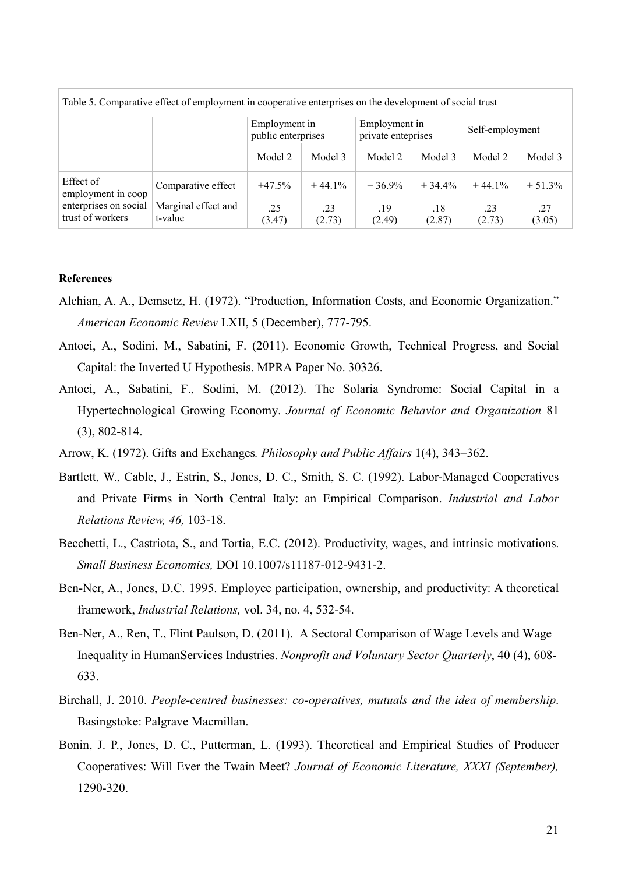| Table 5. Comparative effect of employment in cooperative enterprises on the development of social trust |                                |                                     |               |                                     |               |                 |               |  |
|---------------------------------------------------------------------------------------------------------|--------------------------------|-------------------------------------|---------------|-------------------------------------|---------------|-----------------|---------------|--|
|                                                                                                         |                                | Employment in<br>public enterprises |               | Employment in<br>private enteprises |               | Self-employment |               |  |
|                                                                                                         |                                | Model 2                             | Model 3       | Model 2                             | Model 3       | Model 2         | Model 3       |  |
| Effect of<br>employment in coop                                                                         | Comparative effect             | $+47.5\%$                           | $+44.1%$      | $+36.9%$                            | $+34.4%$      | $+44.1%$        | $+51.3%$      |  |
| enterprises on social<br>trust of workers                                                               | Marginal effect and<br>t-value | .25<br>(3.47)                       | .23<br>(2.73) | .19<br>(2.49)                       | .18<br>(2.87) | .23<br>(2.73)   | .27<br>(3.05) |  |

Table 5. Comparative effect of employment in cooperative enterprises on the development of social trust

#### **References**

- Alchian, A. A., Demsetz, H. (1972). "Production, Information Costs, and Economic Organization." *American Economic Review* LXII, 5 (December), 777-795.
- Antoci, A., Sodini, M., Sabatini, F. (2011). Economic Growth, Technical Progress, and Social Capital: the Inverted U Hypothesis. MPRA Paper No. 30326.
- Antoci, A., Sabatini, F., Sodini, M. (2012). The Solaria Syndrome: Social Capital in a Hypertechnological Growing Economy. *Journal of Economic Behavior and Organization* 81 (3), 802-814.
- Arrow, K. (1972). Gifts and Exchanges*. Philosophy and Public Affairs* 1(4), 343–362.
- Bartlett, W., Cable, J., Estrin, S., Jones, D. C., Smith, S. C. (1992). Labor-Managed Cooperatives and Private Firms in North Central Italy: an Empirical Comparison. *Industrial and Labor Relations Review, 46,* 103-18.
- Becchetti, L., Castriota, S., and Tortia, E.C. (2012). Productivity, wages, and intrinsic motivations. *Small Business Economics,* DOI 10.1007/s11187-012-9431-2.
- Ben-Ner, A., Jones, D.C. 1995. Employee participation, ownership, and productivity: A theoretical framework, *Industrial Relations,* vol. 34, no. 4, 532-54.
- Ben-Ner, A., Ren, T., Flint Paulson, D. (2011). A Sectoral Comparison of Wage Levels and Wage Inequality in HumanServices Industries. *Nonprofit and Voluntary Sector Quarterly*, 40 (4), 608- 633.
- Birchall, J. 2010. *People-centred businesses: co-operatives, mutuals and the idea of membership*. Basingstoke: Palgrave Macmillan.
- Bonin, J. P., Jones, D. C., Putterman, L. (1993). Theoretical and Empirical Studies of Producer Cooperatives: Will Ever the Twain Meet? *Journal of Economic Literature, XXXI (September),* 1290-320.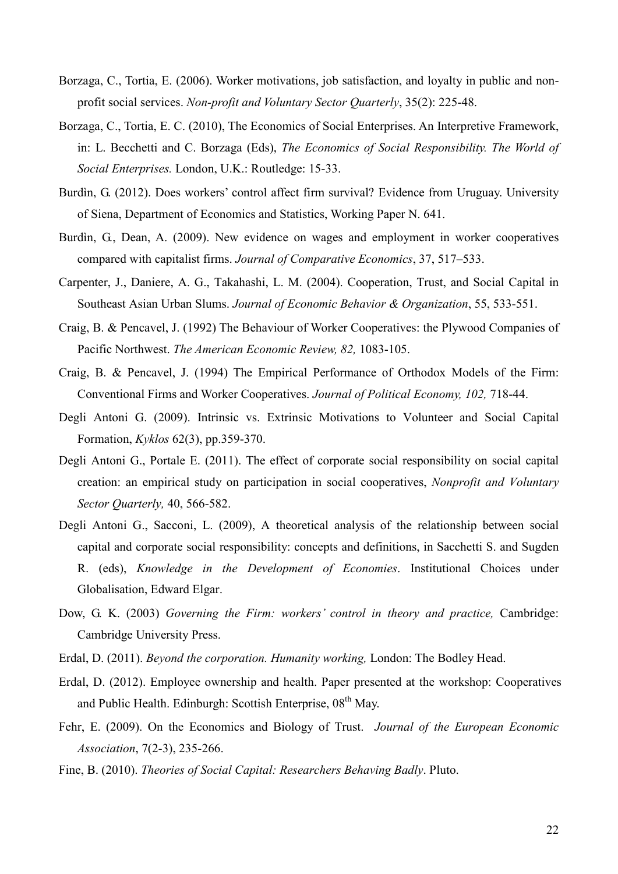- Borzaga, C., Tortia, E. (2006). Worker motivations, job satisfaction, and loyalty in public and nonprofit social services. *Non-profit and Voluntary Sector Quarterly*, 35(2): 225-48.
- Borzaga, C., Tortia, E. C. (2010), The Economics of Social Enterprises. An Interpretive Framework, in: L. Becchetti and C. Borzaga (Eds), *The Economics of Social Responsibility. The World of Social Enterprises.* London, U.K.: Routledge: 15-33.
- Burdìn, G. (2012). Does workers' control affect firm survival? Evidence from Uruguay. University of Siena, Department of Economics and Statistics, Working Paper N. 641.
- Burdìn, G., Dean, A. (2009). New evidence on wages and employment in worker cooperatives compared with capitalist firms. *Journal of Comparative Economics*, 37, 517–533.
- Carpenter, J., Daniere, A. G., Takahashi, L. M. (2004). Cooperation, Trust, and Social Capital in Southeast Asian Urban Slums. *Journal of Economic Behavior & Organization*, 55, 533-551.
- Craig, B. & Pencavel, J. (1992) The Behaviour of Worker Cooperatives: the Plywood Companies of Pacific Northwest. *The American Economic Review, 82,* 1083-105.
- Craig, B. & Pencavel, J. (1994) The Empirical Performance of Orthodox Models of the Firm: Conventional Firms and Worker Cooperatives. *Journal of Political Economy, 102,* 718-44.
- Degli Antoni G. (2009). Intrinsic vs. Extrinsic Motivations to Volunteer and Social Capital Formation, *Kyklos* 62(3), pp.359-370.
- Degli Antoni G., Portale E. (2011). The effect of corporate social responsibility on social capital creation: an empirical study on participation in social cooperatives, *Nonprofit and Voluntary Sector Quarterly,* 40, 566-582.
- Degli Antoni G., Sacconi, L. (2009), A theoretical analysis of the relationship between social capital and corporate social responsibility: concepts and definitions, in Sacchetti S. and Sugden R. (eds), *Knowledge in the Development of Economies*. Institutional Choices under Globalisation, Edward Elgar.
- Dow, G. K. (2003) *Governing the Firm: workers' control in theory and practice,* Cambridge: Cambridge University Press.
- Erdal, D. (2011). *Beyond the corporation. Humanity working,* London: The Bodley Head.
- Erdal, D. (2012). Employee ownership and health. Paper presented at the workshop: Cooperatives and Public Health. Edinburgh: Scottish Enterprise, 08<sup>th</sup> May.
- Fehr, E. (2009). On the Economics and Biology of Trust. *Journal of the European Economic Association*, 7(2-3), 235-266.
- Fine, B. (2010). *Theories of Social Capital: Researchers Behaving Badly*. Pluto.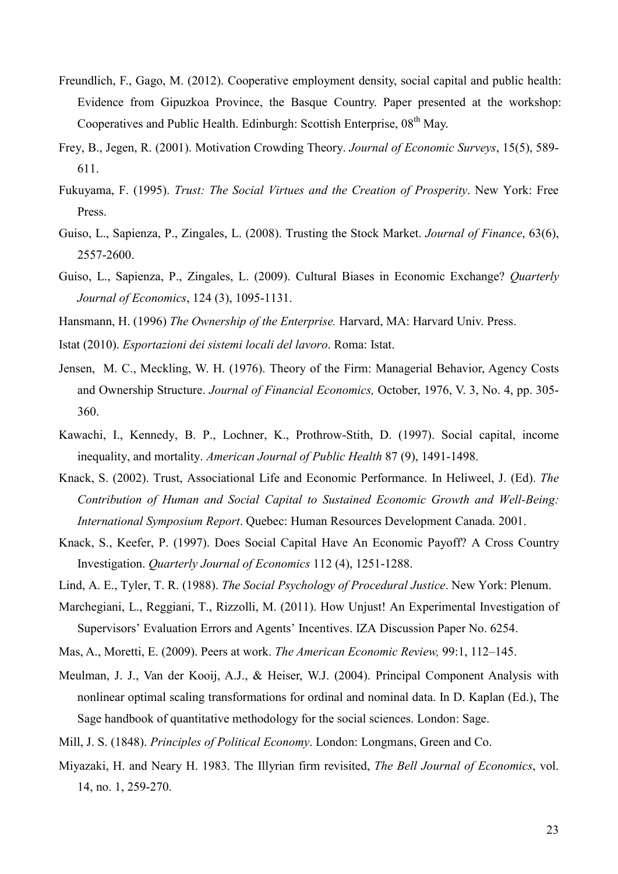- Freundlich, F., Gago, M. (2012). Cooperative employment density, social capital and public health: Evidence from Gipuzkoa Province, the Basque Country. Paper presented at the workshop: Cooperatives and Public Health. Edinburgh: Scottish Enterprise,  $08<sup>th</sup>$  May.
- Frey, B., Jegen, R. (2001). Motivation Crowding Theory. *Journal of Economic Surveys*, 15(5), 589- 611.
- Fukuyama, F. (1995). *Trust: The Social Virtues and the Creation of Prosperity*. New York: Free Press.
- Guiso, L., Sapienza, P., Zingales, L. (2008). Trusting the Stock Market. *Journal of Finance*, 63(6), 2557-2600.
- Guiso, L., Sapienza, P., Zingales, L. (2009). Cultural Biases in Economic Exchange? *Quarterly Journal of Economics*, 124 (3), 1095-1131.
- Hansmann, H. (1996) *The Ownership of the Enterprise.* Harvard, MA: Harvard Univ. Press.
- Istat (2010). *Esportazioni dei sistemi locali del lavoro*. Roma: Istat.
- Jensen, M. C., Meckling, W. H. (1976). Theory of the Firm: Managerial Behavior, Agency Costs and Ownership Structure. *Journal of Financial Economics,* October, 1976, V. 3, No. 4, pp. 305- 360.
- Kawachi, I., Kennedy, B. P., Lochner, K., Prothrow-Stith, D. (1997). Social capital, income inequality, and mortality. *American Journal of Public Health* 87 (9), 1491-1498.
- Knack, S. (2002). Trust, Associational Life and Economic Performance. In Heliweel, J. (Ed). *The Contribution of Human and Social Capital to Sustained Economic Growth and Well-Being: International Symposium Report*. Quebec: Human Resources Development Canada. 2001.
- Knack, S., Keefer, P. (1997). Does Social Capital Have An Economic Payoff? A Cross Country Investigation. *Quarterly Journal of Economics* 112 (4), 1251-1288.
- Lind, A. E., Tyler, T. R. (1988). *The Social Psychology of Procedural Justice*. New York: Plenum.
- Marchegiani, L., Reggiani, T., Rizzolli, M. (2011). How Unjust! An Experimental Investigation of Supervisors' Evaluation Errors and Agents' Incentives. IZA Discussion Paper No. 6254.
- Mas, A., Moretti, E. (2009). Peers at work. *The American Economic Review,* 99:1, 112–145.
- Meulman, J. J., Van der Kooij, A.J., & Heiser, W.J. (2004). Principal Component Analysis with nonlinear optimal scaling transformations for ordinal and nominal data. In D. Kaplan (Ed.), The Sage handbook of quantitative methodology for the social sciences. London: Sage.
- Mill, J. S. (1848). *Principles of Political Economy*. London: Longmans, Green and Co.
- Miyazaki, H. and Neary H. 1983. The Illyrian firm revisited, *The Bell Journal of Economics*, vol. 14, no. 1, 259-270.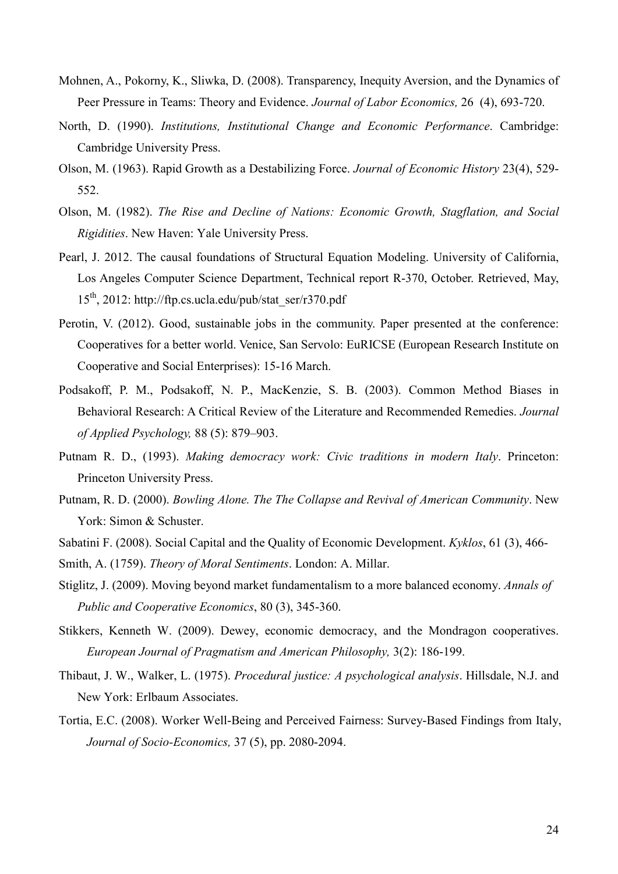- Mohnen, A., Pokorny, K., Sliwka, D. (2008). Transparency, Inequity Aversion, and the Dynamics of Peer Pressure in Teams: Theory and Evidence. *Journal of Labor Economics,* 26 (4), 693-720.
- North, D. (1990). *Institutions, Institutional Change and Economic Performance*. Cambridge: Cambridge University Press.
- Olson, M. (1963). Rapid Growth as a Destabilizing Force. *Journal of Economic History* 23(4), 529- 552.
- Olson, M. (1982). *The Rise and Decline of Nations: Economic Growth, Stagflation, and Social Rigidities*. New Haven: Yale University Press.
- Pearl, J. 2012. The causal foundations of Structural Equation Modeling. University of California, Los Angeles Computer Science Department, Technical report R-370, October. Retrieved, May, 15th, 2012: http://ftp.cs.ucla.edu/pub/stat\_ser/r370.pdf
- Perotin, V. (2012). Good, sustainable jobs in the community. Paper presented at the conference: Cooperatives for a better world. Venice, San Servolo: EuRICSE (European Research Institute on Cooperative and Social Enterprises): 15-16 March.
- Podsakoff, P. M., Podsakoff, N. P., MacKenzie, S. B. (2003). Common Method Biases in Behavioral Research: A Critical Review of the Literature and Recommended Remedies. *Journal of Applied Psychology,* 88 (5): 879–903.
- Putnam R. D., (1993). *Making democracy work: Civic traditions in modern Italy*. Princeton: Princeton University Press.
- Putnam, R. D. (2000). *Bowling Alone. The The Collapse and Revival of American Community*. New York: Simon & Schuster.
- Sabatini F. (2008). Social Capital and the Quality of Economic Development. *Kyklos*, 61 (3), 466-
- Smith, A. (1759). *Theory of Moral Sentiments*. London: A. Millar.
- Stiglitz, J. (2009). Moving beyond market fundamentalism to a more balanced economy. *Annals of Public and Cooperative Economics*, 80 (3), 345-360.
- Stikkers, Kenneth W. (2009). Dewey, economic democracy, and the Mondragon cooperatives. *European Journal of Pragmatism and American Philosophy,* 3(2): 186-199.
- Thibaut, J. W., Walker, L. (1975). *Procedural justice: A psychological analysis*. Hillsdale, N.J. and New York: Erlbaum Associates.
- Tortia, E.C. (2008). Worker Well-Being and Perceived Fairness: Survey-Based Findings from Italy, *Journal of Socio-Economics,* 37 (5), pp. 2080-2094.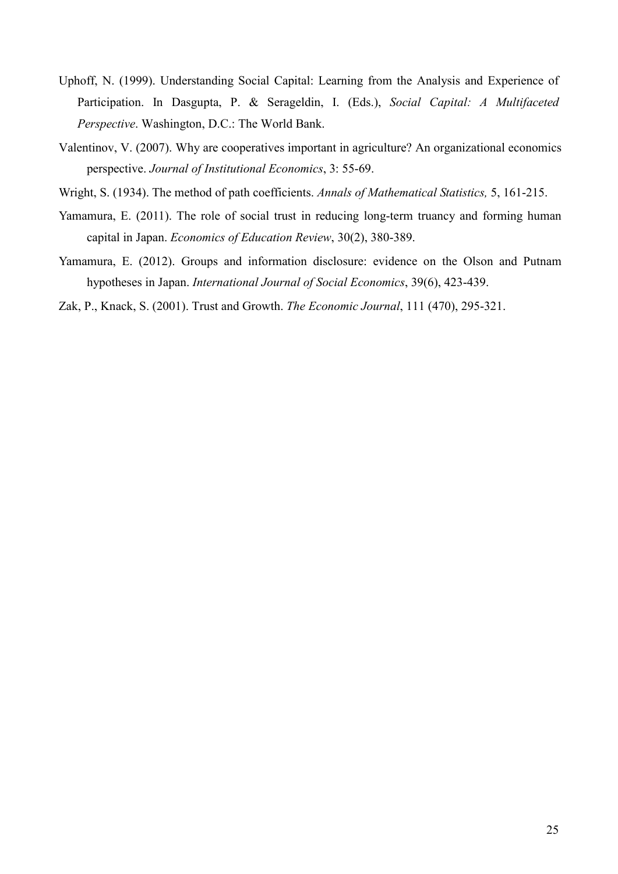- Uphoff, N. (1999). Understanding Social Capital: Learning from the Analysis and Experience of Participation. In Dasgupta, P. & Serageldin, I. (Eds.), *Social Capital: A Multifaceted Perspective*. Washington, D.C.: The World Bank.
- Valentinov, V. (2007). Why are cooperatives important in agriculture? An organizational economics perspective. *Journal of Institutional Economics*, 3: 55-69.
- Wright, S. (1934). The method of path coefficients. *Annals of Mathematical Statistics,* 5, 161-215.
- Yamamura, E. (2011). The role of social trust in reducing long-term truancy and forming human capital in Japan. *Economics of Education Review*, 30(2), 380-389.
- Yamamura, E. (2012). Groups and information disclosure: evidence on the Olson and Putnam hypotheses in Japan. *International Journal of Social Economics*, 39(6), 423-439.

Zak, P., Knack, S. (2001). Trust and Growth. *The Economic Journal*, 111 (470), 295-321.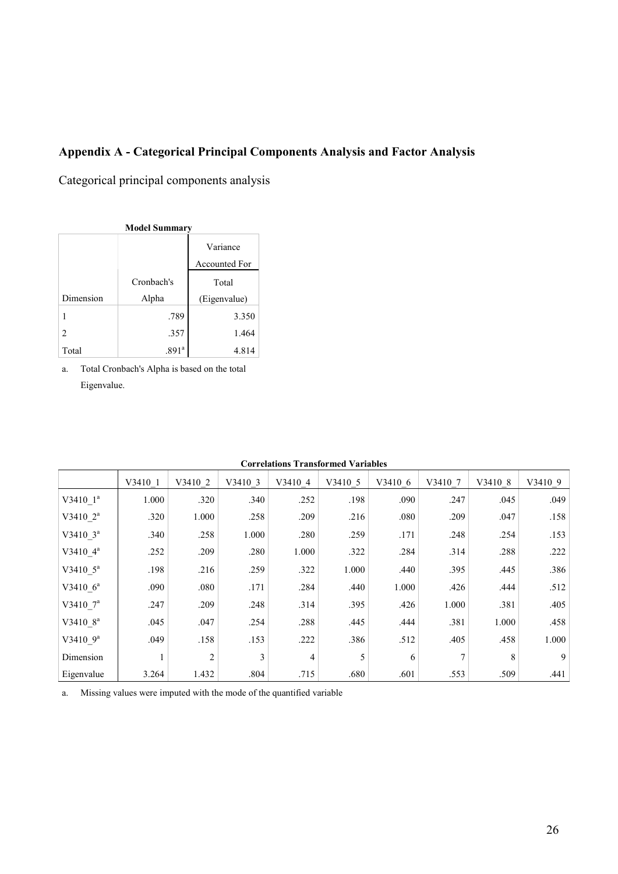# **Appendix A - Categorical Principal Components Analysis and Factor Analysis**

Categorical principal components analysis

| <b>Model Summary</b> |                   |                      |  |  |  |  |  |  |
|----------------------|-------------------|----------------------|--|--|--|--|--|--|
|                      |                   | Variance             |  |  |  |  |  |  |
|                      |                   | <b>Accounted For</b> |  |  |  |  |  |  |
|                      | Cronbach's        | Total                |  |  |  |  |  |  |
| Dimension            | Alpha             | (Eigenvalue)         |  |  |  |  |  |  |
|                      | .789              | 3.350                |  |  |  |  |  |  |
| 2                    | .357              | 1.464                |  |  |  |  |  |  |
| Total                | .891 <sup>a</sup> | 4.814                |  |  |  |  |  |  |

a. Total Cronbach's Alpha is based on the total Eigenvalue.

#### **Correlations Transformed Variables**

|                      | V3410 1 | V3410 2        | V3410 3 | V3410 4 | V3410 5 | V3410 6 | V3410 7        | V3410 8 | V3410 9 |
|----------------------|---------|----------------|---------|---------|---------|---------|----------------|---------|---------|
| V3410 1 <sup>ª</sup> | 1.000   | .320           | .340    | .252    | .198    | .090    | .247           | .045    | .049    |
| V3410 2 <sup>a</sup> | .320    | 1.000          | .258    | .209    | .216    | .080    | .209           | .047    | .158    |
| V3410 3 <sup>ª</sup> | .340    | .258           | 1.000   | .280    | .259    | .171    | .248           | .254    | .153    |
| V3410 4 <sup>ª</sup> | .252    | .209           | .280    | 1.000   | .322    | .284    | .314           | .288    | .222    |
| V3410 5 <sup>a</sup> | .198    | .216           | .259    | .322    | 1.000   | .440    | .395           | .445    | .386    |
| $V3410~6^a$          | .090    | .080           | .171    | .284    | .440    | 1.000   | .426           | .444    | .512    |
| $V34107^a$           | .247    | .209           | .248    | .314    | .395    | .426    | 1.000          | .381    | .405    |
| $V3410_8^a$          | .045    | .047           | .254    | .288    | .445    | .444    | .381           | 1.000   | .458    |
| $V3410$ $9^a$        | .049    | .158           | .153    | .222    | .386    | .512    | .405           | .458    | 1.000   |
| Dimension            |         | $\overline{2}$ | 3       | 4       | 5       | 6       | $\overline{7}$ | 8       | 9       |
| Eigenvalue           | 3.264   | 1.432          | .804    | .715    | .680    | .601    | .553           | .509    | .441    |

a. Missing values were imputed with the mode of the quantified variable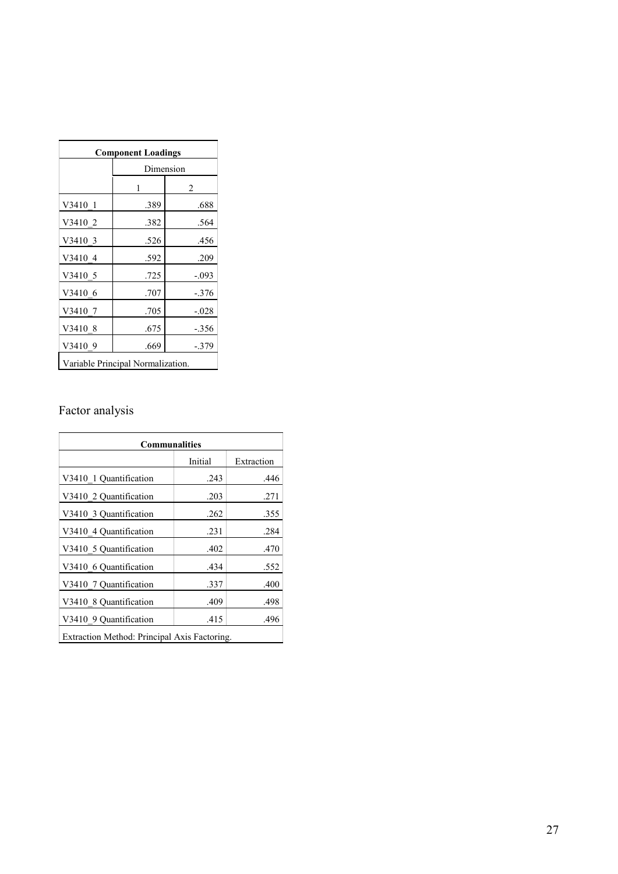| <b>Component Loadings</b> |                                   |          |  |  |  |  |  |
|---------------------------|-----------------------------------|----------|--|--|--|--|--|
|                           | Dimension                         |          |  |  |  |  |  |
|                           | 1                                 | 2        |  |  |  |  |  |
| V3410 1                   | .389                              | .688     |  |  |  |  |  |
| V3410 2                   | .382                              | .564     |  |  |  |  |  |
| V3410 3                   | .526                              | .456     |  |  |  |  |  |
| V3410 4                   | .592                              | .209     |  |  |  |  |  |
| V3410 5                   | .725                              | $-.093$  |  |  |  |  |  |
| V3410 6                   | .707                              | $-376$   |  |  |  |  |  |
| V3410 7                   | .705                              | $-.028$  |  |  |  |  |  |
| V3410 8                   | .675                              | $-.356$  |  |  |  |  |  |
| V3410 9                   | .669                              | $-0.379$ |  |  |  |  |  |
|                           | Variable Principal Normalization. |          |  |  |  |  |  |

# Factor analysis

| <b>Communalities</b>                         |         |            |  |  |  |  |  |  |
|----------------------------------------------|---------|------------|--|--|--|--|--|--|
|                                              | Initial | Extraction |  |  |  |  |  |  |
| V3410 1 Quantification                       | .243    | .446       |  |  |  |  |  |  |
| V3410 2 Quantification                       | .203    | .271       |  |  |  |  |  |  |
| V3410 3 Quantification                       | .262    | .355       |  |  |  |  |  |  |
| V3410 4 Quantification                       | .231    | .284       |  |  |  |  |  |  |
| V3410 5 Quantification                       | .402    | .470       |  |  |  |  |  |  |
| V3410 6 Quantification                       | .434    | .552       |  |  |  |  |  |  |
| V3410 7 Quantification                       | .337    | .400       |  |  |  |  |  |  |
| V3410 8 Quantification                       | .409    | .498       |  |  |  |  |  |  |
| V3410 9 Quantification                       | .415    | .496       |  |  |  |  |  |  |
| Extraction Method: Principal Axis Factoring. |         |            |  |  |  |  |  |  |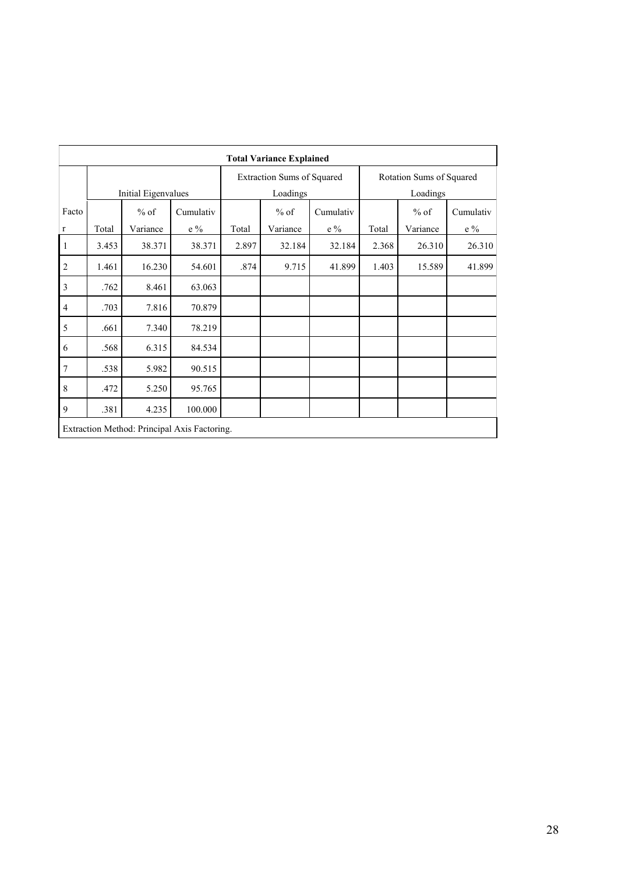|                         | <b>Total Variance Explained</b> |                     |                                              |       |                            |           |                          |          |           |
|-------------------------|---------------------------------|---------------------|----------------------------------------------|-------|----------------------------|-----------|--------------------------|----------|-----------|
|                         |                                 |                     |                                              |       | Extraction Sums of Squared |           | Rotation Sums of Squared |          |           |
|                         |                                 | Initial Eigenvalues |                                              |       | Loadings                   |           |                          | Loadings |           |
| Facto                   |                                 | $%$ of              | Cumulativ                                    |       | $%$ of                     | Cumulativ |                          | $%$ of   | Cumulativ |
| r                       | Total                           | Variance            | $e\%$                                        | Total | Variance                   | $e\%$     | Total                    | Variance | $e\%$     |
| $\vert$ 1               | 3.453                           | 38.371              | 38.371                                       | 2.897 | 32.184                     | 32.184    | 2.368                    | 26.310   | 26.310    |
| $\sqrt{2}$              | 1.461                           | 16.230              | 54.601                                       | .874  | 9.715                      | 41.899    | 1.403                    | 15.589   | 41.899    |
| $\overline{\mathbf{3}}$ | .762                            | 8.461               | 63.063                                       |       |                            |           |                          |          |           |
| $\overline{4}$          | .703                            | 7.816               | 70.879                                       |       |                            |           |                          |          |           |
| $\sqrt{5}$              | .661                            | 7.340               | 78.219                                       |       |                            |           |                          |          |           |
| 6                       | .568                            | 6.315               | 84.534                                       |       |                            |           |                          |          |           |
| $\sqrt{7}$              | .538                            | 5.982               | 90.515                                       |       |                            |           |                          |          |           |
| $\,8\,$                 | .472                            | 5.250               | 95.765                                       |       |                            |           |                          |          |           |
| $\mathbf{9}$            | .381                            | 4.235               | 100.000                                      |       |                            |           |                          |          |           |
|                         |                                 |                     | Extraction Method: Principal Axis Factoring. |       |                            |           |                          |          |           |